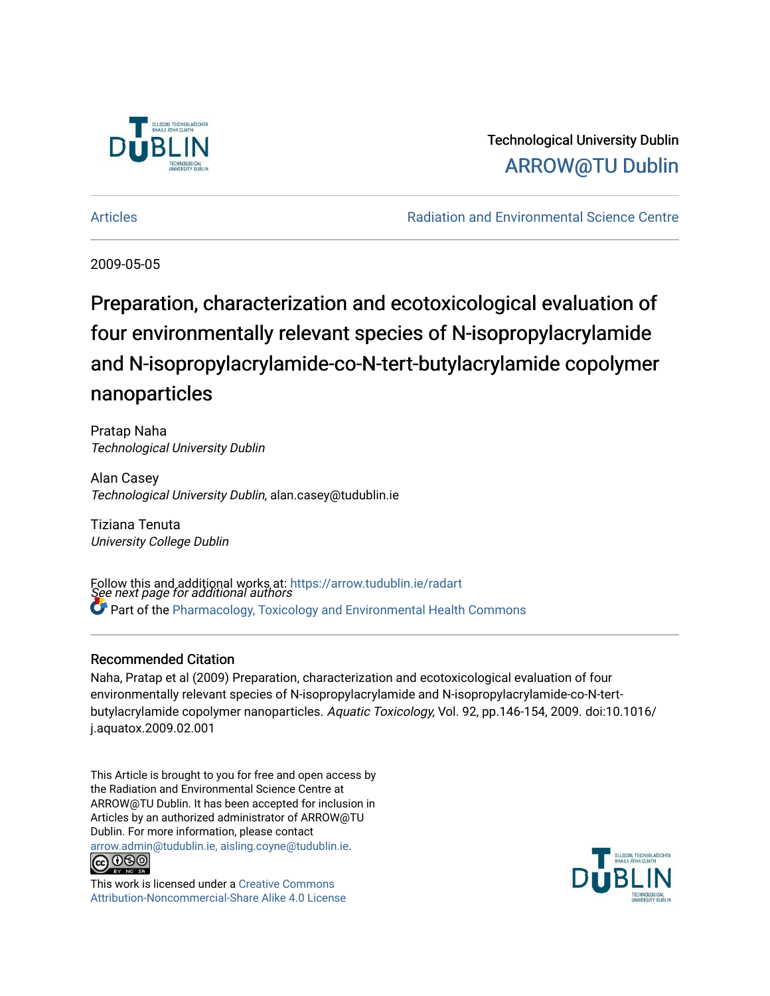

## Technological University Dublin [ARROW@TU Dublin](https://arrow.tudublin.ie/)

[Articles](https://arrow.tudublin.ie/radart) [Radiation and Environmental Science Centre](https://arrow.tudublin.ie/rad) 

2009-05-05

# Preparation, characterization and ecotoxicological evaluation of four environmentally relevant species of N-isopropylacrylamide and N-isopropylacrylamide-co-N-tert-butylacrylamide copolymer nanoparticles

Pratap Naha Technological University Dublin

Alan Casey Technological University Dublin, alan.casey@tudublin.ie

Tiziana Tenuta University College Dublin

Follow this and additional works at: https://arrow.tudublin.ie/radart<br>See next page for additional authors Part of the [Pharmacology, Toxicology and Environmental Health Commons](http://network.bepress.com/hgg/discipline/63?utm_source=arrow.tudublin.ie%2Fradart%2F12&utm_medium=PDF&utm_campaign=PDFCoverPages) 

#### Recommended Citation

Naha, Pratap et al (2009) Preparation, characterization and ecotoxicological evaluation of four environmentally relevant species of N-isopropylacrylamide and N-isopropylacrylamide-co-N-tertbutylacrylamide copolymer nanoparticles. Aquatic Toxicology, Vol. 92, pp.146-154, 2009. doi:10.1016/ j.aquatox.2009.02.001

This Article is brought to you for free and open access by the Radiation and Environmental Science Centre at ARROW@TU Dublin. It has been accepted for inclusion in Articles by an authorized administrator of ARROW@TU Dublin. For more information, please contact [arrow.admin@tudublin.ie, aisling.coyne@tudublin.ie](mailto:arrow.admin@tudublin.ie,%20aisling.coyne@tudublin.ie).



This work is licensed under a [Creative Commons](http://creativecommons.org/licenses/by-nc-sa/4.0/) [Attribution-Noncommercial-Share Alike 4.0 License](http://creativecommons.org/licenses/by-nc-sa/4.0/)

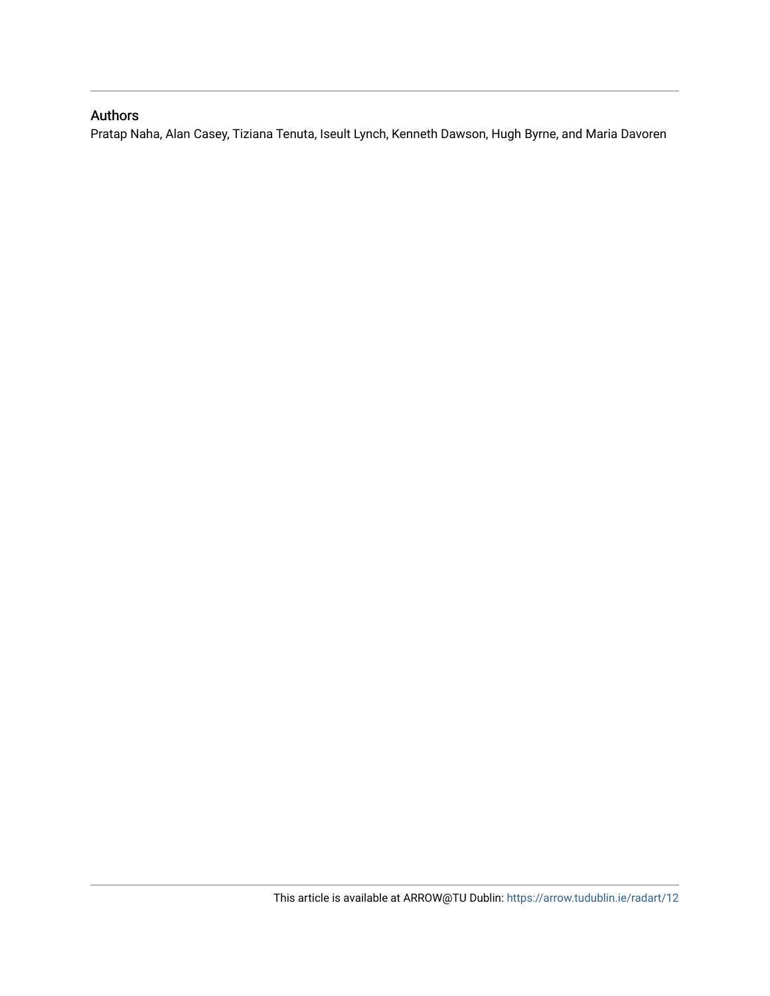### Authors

Pratap Naha, Alan Casey, Tiziana Tenuta, Iseult Lynch, Kenneth Dawson, Hugh Byrne, and Maria Davoren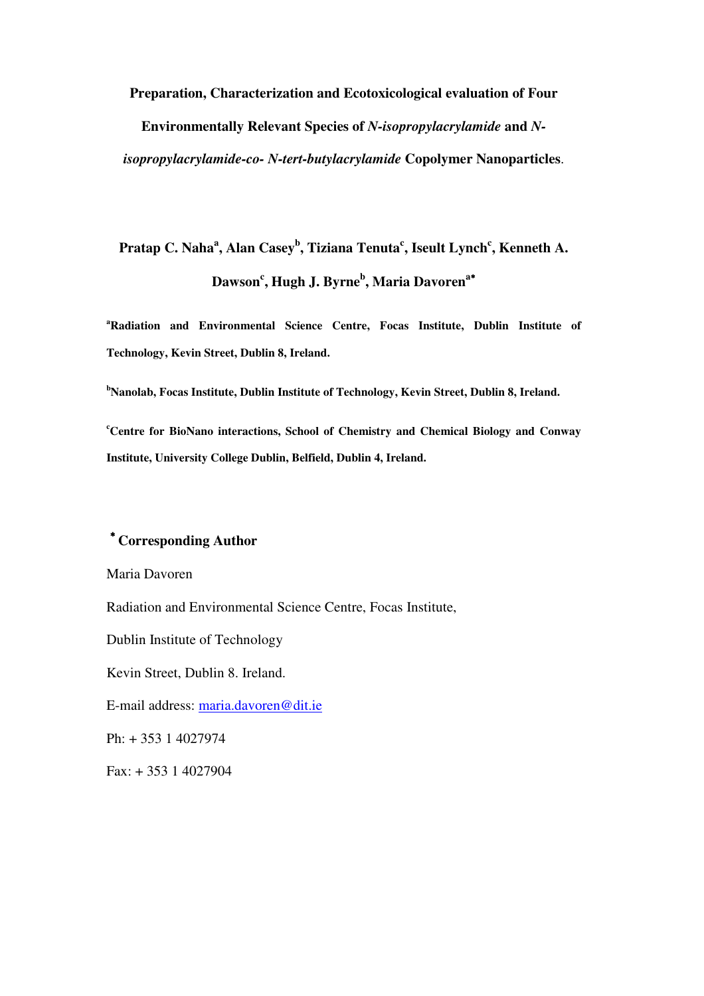**Preparation, Characterization and Ecotoxicological evaluation of Four** 

**Environmentally Relevant Species of** *N-isopropylacrylamide* **and** *N-*

*isopropylacrylamide-co- N-tert-butylacrylamide* **Copolymer Nanoparticles**.

# **Pratap C. Naha<sup>a</sup> , Alan Casey<sup>b</sup> , Tiziana Tenuta<sup>c</sup> , Iseult Lynch<sup>c</sup> , Kenneth A. Dawson<sup>c</sup> , Hugh J. Byrne<sup>b</sup> , Maria Davoren<sup>a</sup>**<sup>∗</sup>

**<sup>a</sup>Radiation and Environmental Science Centre, Focas Institute, Dublin Institute of Technology, Kevin Street, Dublin 8, Ireland.** 

**<sup>b</sup>Nanolab, Focas Institute, Dublin Institute of Technology, Kevin Street, Dublin 8, Ireland.** 

**<sup>c</sup>Centre for BioNano interactions, School of Chemistry and Chemical Biology and Conway Institute, University College Dublin, Belfield, Dublin 4, Ireland.** 

### <sup>∗</sup> **Corresponding Author**

Maria Davoren

Radiation and Environmental Science Centre, Focas Institute,

Dublin Institute of Technology

Kevin Street, Dublin 8. Ireland.

E-mail address: maria.davoren@dit.ie

Ph: + 353 1 4027974

Fax: + 353 1 4027904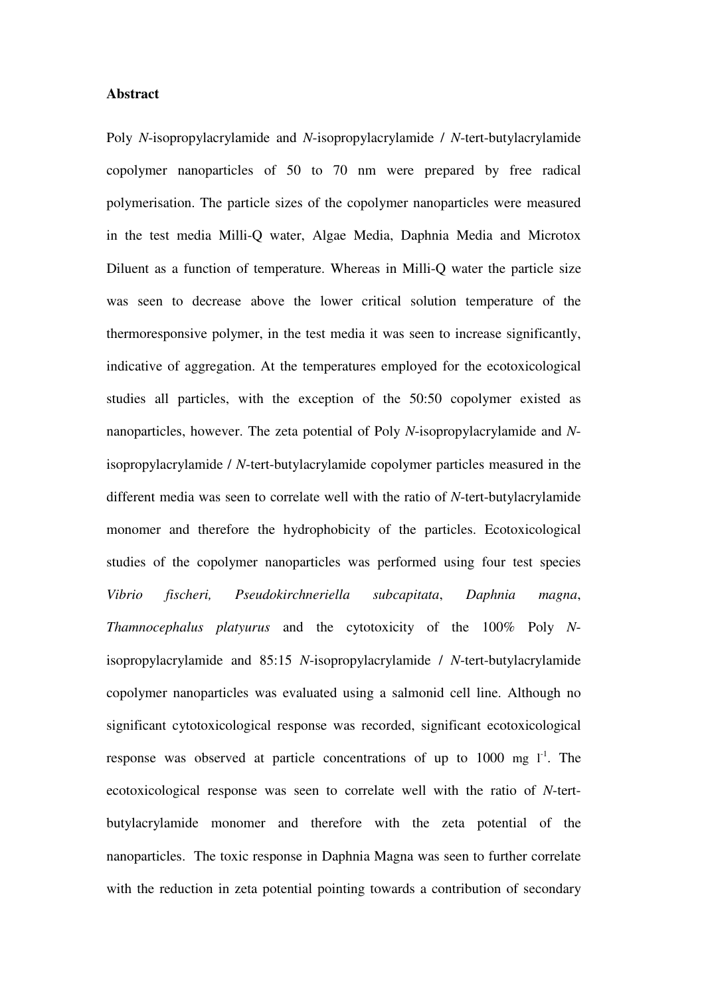#### **Abstract**

Poly *N*-isopropylacrylamide and *N*-isopropylacrylamide / *N*-tert-butylacrylamide copolymer nanoparticles of 50 to 70 nm were prepared by free radical polymerisation. The particle sizes of the copolymer nanoparticles were measured in the test media Milli-Q water, Algae Media, Daphnia Media and Microtox Diluent as a function of temperature. Whereas in Milli-Q water the particle size was seen to decrease above the lower critical solution temperature of the thermoresponsive polymer, in the test media it was seen to increase significantly, indicative of aggregation. At the temperatures employed for the ecotoxicological studies all particles, with the exception of the 50:50 copolymer existed as nanoparticles, however. The zeta potential of Poly *N*-isopropylacrylamide and *N*isopropylacrylamide / *N*-tert-butylacrylamide copolymer particles measured in the different media was seen to correlate well with the ratio of *N*-tert-butylacrylamide monomer and therefore the hydrophobicity of the particles. Ecotoxicological studies of the copolymer nanoparticles was performed using four test species *Vibrio fischeri, Pseudokirchneriella subcapitata*, *Daphnia magna*, *Thamnocephalus platyurus* and the cytotoxicity of the 100% Poly *N*isopropylacrylamide and 85:15 *N*-isopropylacrylamide / *N*-tert-butylacrylamide copolymer nanoparticles was evaluated using a salmonid cell line. Although no significant cytotoxicological response was recorded, significant ecotoxicological response was observed at particle concentrations of up to  $1000 \text{ mg } l^1$ . The ecotoxicological response was seen to correlate well with the ratio of *N*-tertbutylacrylamide monomer and therefore with the zeta potential of the nanoparticles. The toxic response in Daphnia Magna was seen to further correlate with the reduction in zeta potential pointing towards a contribution of secondary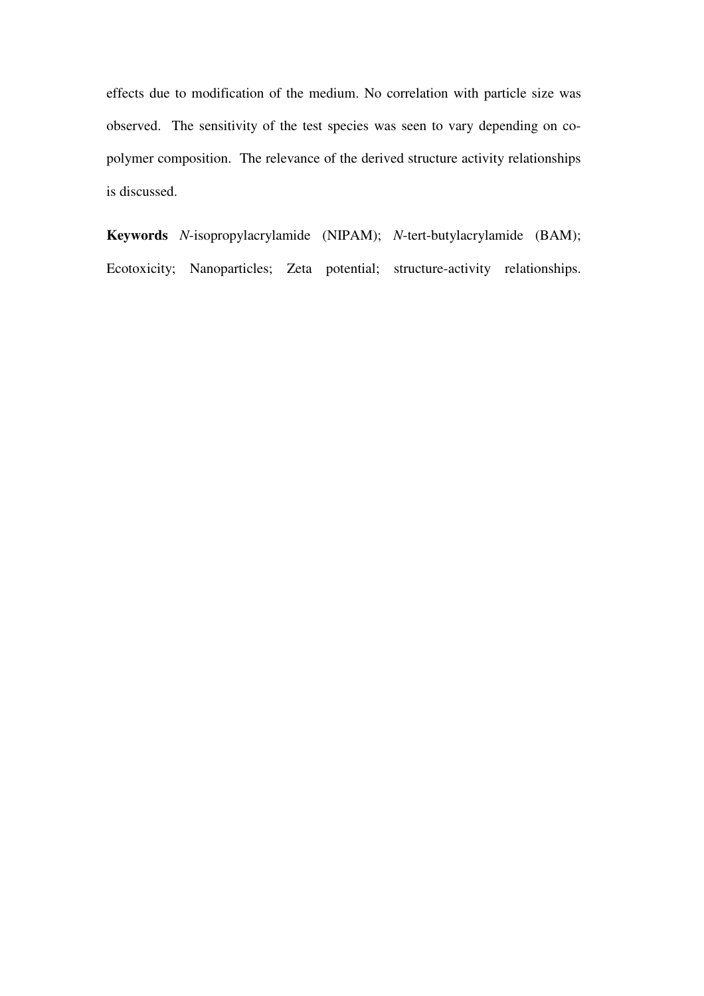effects due to modification of the medium. No correlation with particle size was observed. The sensitivity of the test species was seen to vary depending on copolymer composition. The relevance of the derived structure activity relationships is discussed.

**Keywords** *N*-isopropylacrylamide (NIPAM); *N*-tert-butylacrylamide (BAM); Ecotoxicity; Nanoparticles; Zeta potential; structure-activity relationships.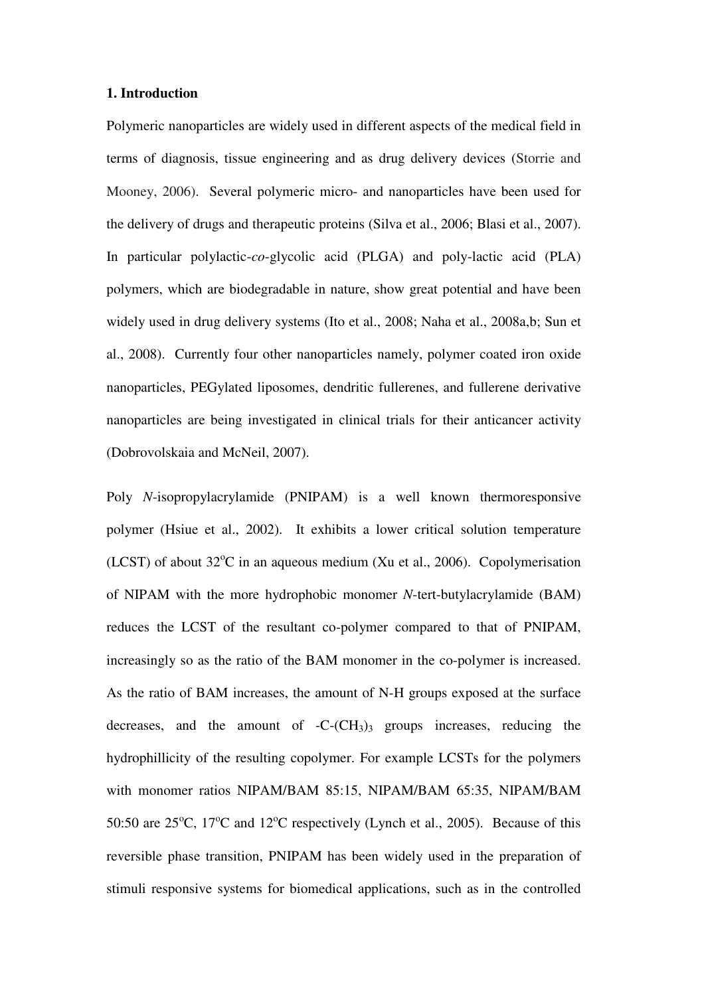#### **1. Introduction**

Polymeric nanoparticles are widely used in different aspects of the medical field in terms of diagnosis, tissue engineering and as drug delivery devices (Storrie and Mooney, 2006). Several polymeric micro- and nanoparticles have been used for the delivery of drugs and therapeutic proteins (Silva et al., 2006; Blasi et al., 2007). In particular polylactic-*co*-glycolic acid (PLGA) and poly-lactic acid (PLA) polymers, which are biodegradable in nature, show great potential and have been widely used in drug delivery systems (Ito et al., 2008; Naha et al., 2008a,b; Sun et al., 2008). Currently four other nanoparticles namely, polymer coated iron oxide nanoparticles, PEGylated liposomes, dendritic fullerenes, and fullerene derivative nanoparticles are being investigated in clinical trials for their anticancer activity (Dobrovolskaia and McNeil, 2007).

Poly *N*-isopropylacrylamide (PNIPAM) is a well known thermoresponsive polymer (Hsiue et al., 2002). It exhibits a lower critical solution temperature (LCST) of about  $32^{\circ}$ C in an aqueous medium (Xu et al., 2006). Copolymerisation of NIPAM with the more hydrophobic monomer *N*-tert-butylacrylamide (BAM) reduces the LCST of the resultant co-polymer compared to that of PNIPAM, increasingly so as the ratio of the BAM monomer in the co-polymer is increased. As the ratio of BAM increases, the amount of N-H groups exposed at the surface decreases, and the amount of  $-C$ - $(CH_3)$ <sup>3</sup> groups increases, reducing the hydrophillicity of the resulting copolymer. For example LCSTs for the polymers with monomer ratios NIPAM/BAM 85:15, NIPAM/BAM 65:35, NIPAM/BAM 50:50 are  $25^{\circ}$ C, 17<sup>o</sup>C and 12<sup>o</sup>C respectively (Lynch et al., 2005). Because of this reversible phase transition, PNIPAM has been widely used in the preparation of stimuli responsive systems for biomedical applications, such as in the controlled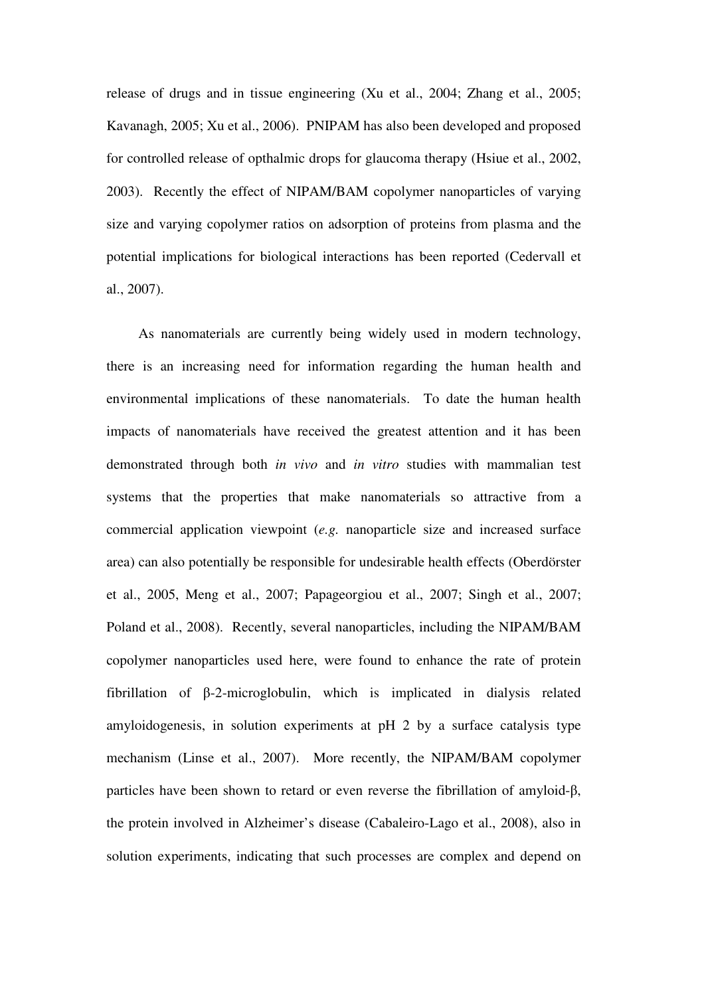release of drugs and in tissue engineering (Xu et al., 2004; Zhang et al., 2005; Kavanagh, 2005; Xu et al., 2006). PNIPAM has also been developed and proposed for controlled release of opthalmic drops for glaucoma therapy (Hsiue et al., 2002, 2003). Recently the effect of NIPAM/BAM copolymer nanoparticles of varying size and varying copolymer ratios on adsorption of proteins from plasma and the potential implications for biological interactions has been reported (Cedervall et al., 2007).

 As nanomaterials are currently being widely used in modern technology, there is an increasing need for information regarding the human health and environmental implications of these nanomaterials. To date the human health impacts of nanomaterials have received the greatest attention and it has been demonstrated through both *in vivo* and *in vitro* studies with mammalian test systems that the properties that make nanomaterials so attractive from a commercial application viewpoint (*e.g.* nanoparticle size and increased surface area) can also potentially be responsible for undesirable health effects (Oberdörster et al., 2005, Meng et al., 2007; Papageorgiou et al., 2007; Singh et al., 2007; Poland et al., 2008). Recently, several nanoparticles, including the NIPAM/BAM copolymer nanoparticles used here, were found to enhance the rate of protein fibrillation of β-2-microglobulin, which is implicated in dialysis related amyloidogenesis, in solution experiments at pH 2 by a surface catalysis type mechanism (Linse et al., 2007). More recently, the NIPAM/BAM copolymer particles have been shown to retard or even reverse the fibrillation of amyloid-β, the protein involved in Alzheimer's disease (Cabaleiro-Lago et al., 2008), also in solution experiments, indicating that such processes are complex and depend on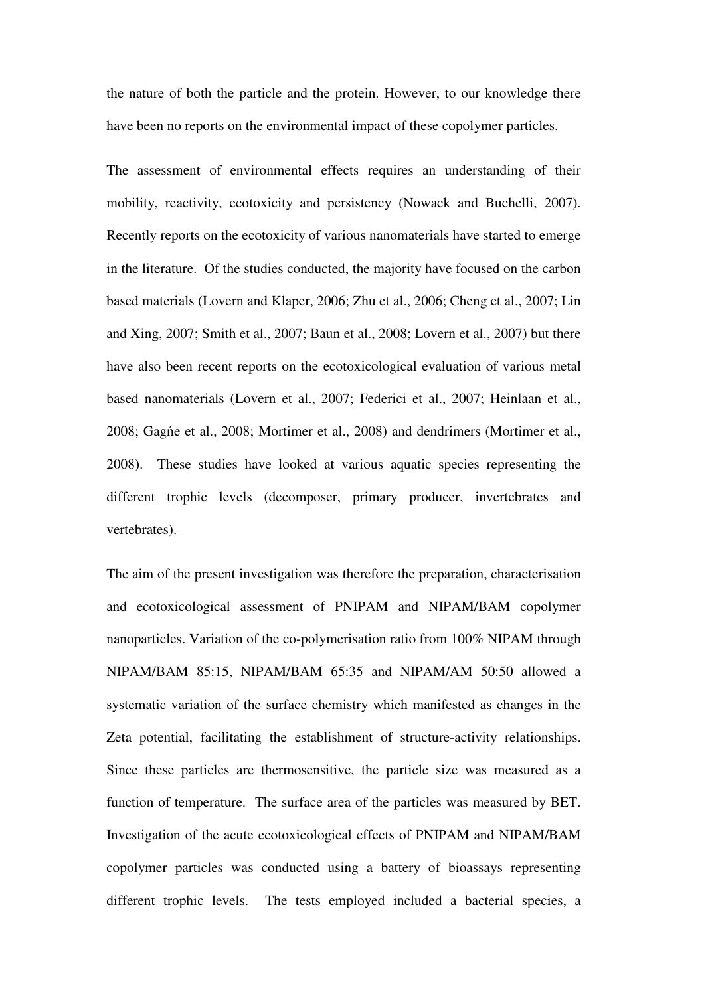the nature of both the particle and the protein. However, to our knowledge there have been no reports on the environmental impact of these copolymer particles.

The assessment of environmental effects requires an understanding of their mobility, reactivity, ecotoxicity and persistency (Nowack and Buchelli, 2007). Recently reports on the ecotoxicity of various nanomaterials have started to emerge in the literature. Of the studies conducted, the majority have focused on the carbon based materials (Lovern and Klaper, 2006; Zhu et al., 2006; Cheng et al., 2007; Lin and Xing, 2007; Smith et al., 2007; Baun et al., 2008; Lovern et al., 2007) but there have also been recent reports on the ecotoxicological evaluation of various metal based nanomaterials (Lovern et al., 2007; Federici et al., 2007; Heinlaan et al., 2008; Gagńe et al., 2008; Mortimer et al., 2008) and dendrimers (Mortimer et al., 2008). These studies have looked at various aquatic species representing the different trophic levels (decomposer, primary producer, invertebrates and vertebrates).

The aim of the present investigation was therefore the preparation, characterisation and ecotoxicological assessment of PNIPAM and NIPAM/BAM copolymer nanoparticles. Variation of the co-polymerisation ratio from 100% NIPAM through NIPAM/BAM 85:15, NIPAM/BAM 65:35 and NIPAM/AM 50:50 allowed a systematic variation of the surface chemistry which manifested as changes in the Zeta potential, facilitating the establishment of structure-activity relationships. Since these particles are thermosensitive, the particle size was measured as a function of temperature. The surface area of the particles was measured by BET. Investigation of the acute ecotoxicological effects of PNIPAM and NIPAM/BAM copolymer particles was conducted using a battery of bioassays representing different trophic levels. The tests employed included a bacterial species, a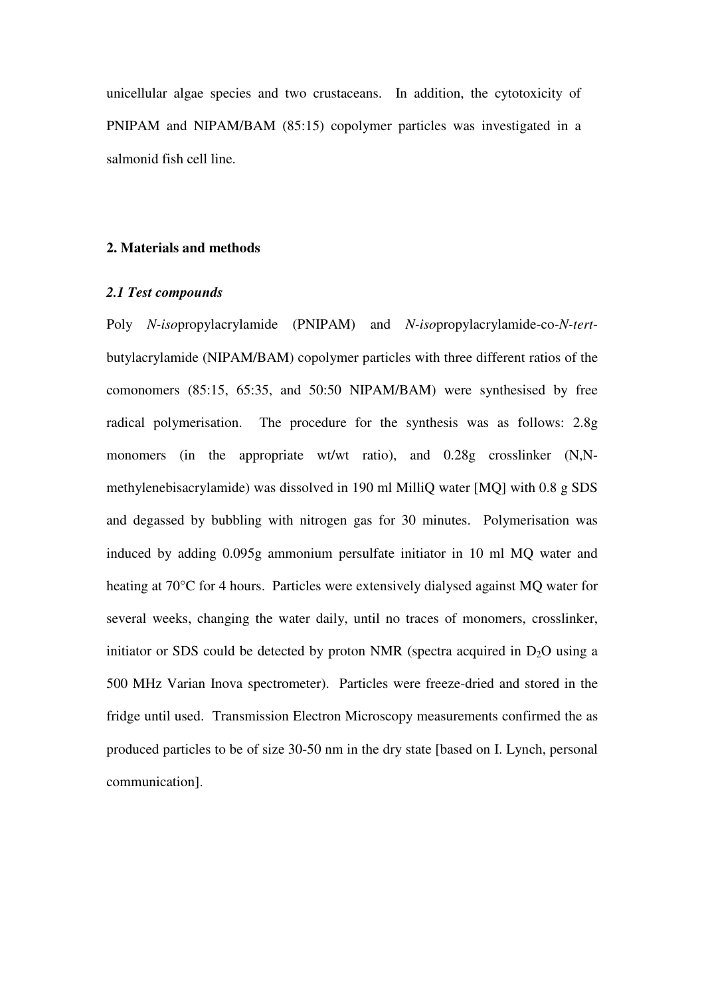unicellular algae species and two crustaceans. In addition, the cytotoxicity of PNIPAM and NIPAM/BAM (85:15) copolymer particles was investigated in a salmonid fish cell line.

#### **2. Materials and methods**

#### *2.1 Test compounds*

Poly *N-iso*propylacrylamide (PNIPAM) and *N-iso*propylacrylamide-co-*N-tert*butylacrylamide (NIPAM/BAM) copolymer particles with three different ratios of the comonomers (85:15, 65:35, and 50:50 NIPAM/BAM) were synthesised by free radical polymerisation. The procedure for the synthesis was as follows: 2.8g monomers (in the appropriate wt/wt ratio), and 0.28g crosslinker (N,Nmethylenebisacrylamide) was dissolved in 190 ml MilliQ water [MQ] with 0.8 g SDS and degassed by bubbling with nitrogen gas for 30 minutes. Polymerisation was induced by adding 0.095g ammonium persulfate initiator in 10 ml MQ water and heating at 70°C for 4 hours. Particles were extensively dialysed against MQ water for several weeks, changing the water daily, until no traces of monomers, crosslinker, initiator or SDS could be detected by proton NMR (spectra acquired in  $D_2O$  using a 500 MHz Varian Inova spectrometer). Particles were freeze-dried and stored in the fridge until used. Transmission Electron Microscopy measurements confirmed the as produced particles to be of size 30-50 nm in the dry state [based on I. Lynch, personal communication].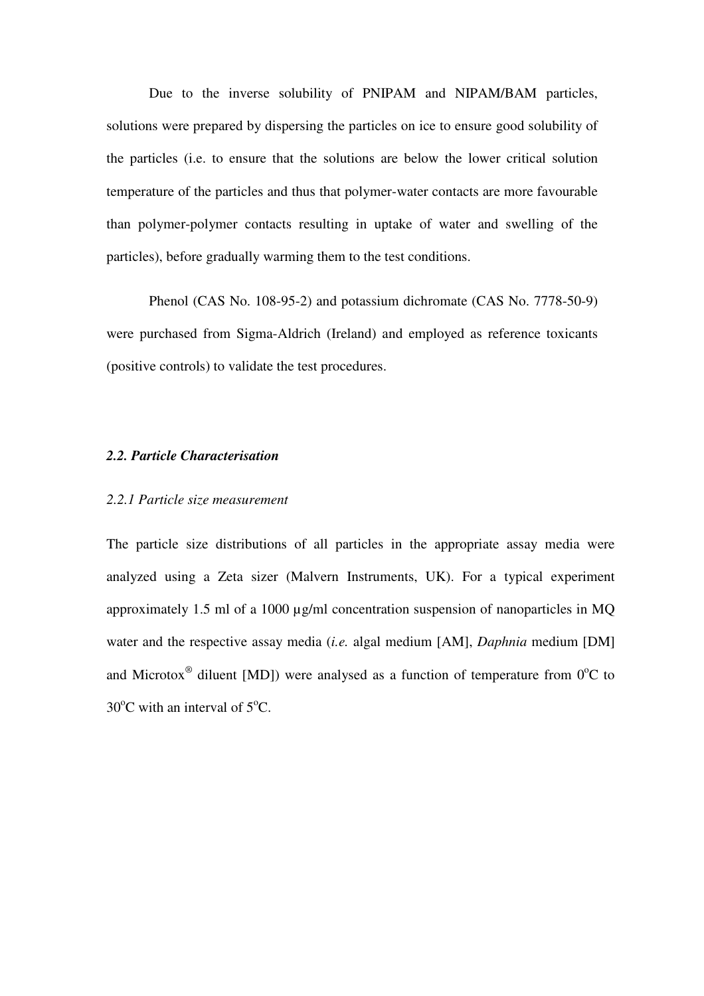Due to the inverse solubility of PNIPAM and NIPAM/BAM particles, solutions were prepared by dispersing the particles on ice to ensure good solubility of the particles (i.e. to ensure that the solutions are below the lower critical solution temperature of the particles and thus that polymer-water contacts are more favourable than polymer-polymer contacts resulting in uptake of water and swelling of the particles), before gradually warming them to the test conditions.

 Phenol (CAS No. 108-95-2) and potassium dichromate (CAS No. 7778-50-9) were purchased from Sigma-Aldrich (Ireland) and employed as reference toxicants (positive controls) to validate the test procedures.

#### *2.2. Particle Characterisation*

#### *2.2.1 Particle size measurement*

The particle size distributions of all particles in the appropriate assay media were analyzed using a Zeta sizer (Malvern Instruments, UK). For a typical experiment approximately 1.5 ml of a 1000 µg/ml concentration suspension of nanoparticles in MQ water and the respective assay media (*i.e.* algal medium [AM], *Daphnia* medium [DM] and Microtox<sup>®</sup> diluent [MD]) were analysed as a function of temperature from  $0^{\circ}C$  to  $30^{\circ}$ C with an interval of  $5^{\circ}$ C.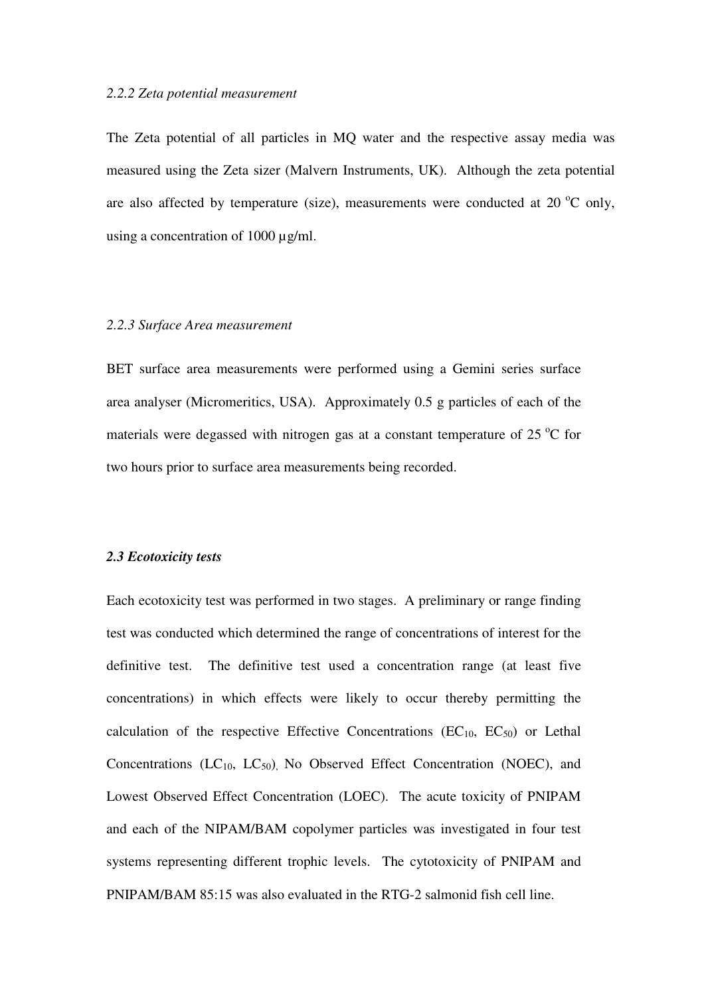#### *2.2.2 Zeta potential measurement*

The Zeta potential of all particles in MQ water and the respective assay media was measured using the Zeta sizer (Malvern Instruments, UK). Although the zeta potential are also affected by temperature (size), measurements were conducted at  $20^{\circ}$ C only, using a concentration of 1000 µg/ml.

#### *2.2.3 Surface Area measurement*

BET surface area measurements were performed using a Gemini series surface area analyser (Micromeritics, USA). Approximately 0.5 g particles of each of the materials were degassed with nitrogen gas at a constant temperature of  $25^{\circ}$ C for two hours prior to surface area measurements being recorded.

#### *2.3 Ecotoxicity tests*

Each ecotoxicity test was performed in two stages. A preliminary or range finding test was conducted which determined the range of concentrations of interest for the definitive test. The definitive test used a concentration range (at least five concentrations) in which effects were likely to occur thereby permitting the calculation of the respective Effective Concentrations ( $EC_{10}$ ,  $EC_{50}$ ) or Lethal Concentrations  $(LC_{10}, LC_{50})$  No Observed Effect Concentration (NOEC), and Lowest Observed Effect Concentration (LOEC). The acute toxicity of PNIPAM and each of the NIPAM/BAM copolymer particles was investigated in four test systems representing different trophic levels. The cytotoxicity of PNIPAM and PNIPAM/BAM 85:15 was also evaluated in the RTG-2 salmonid fish cell line.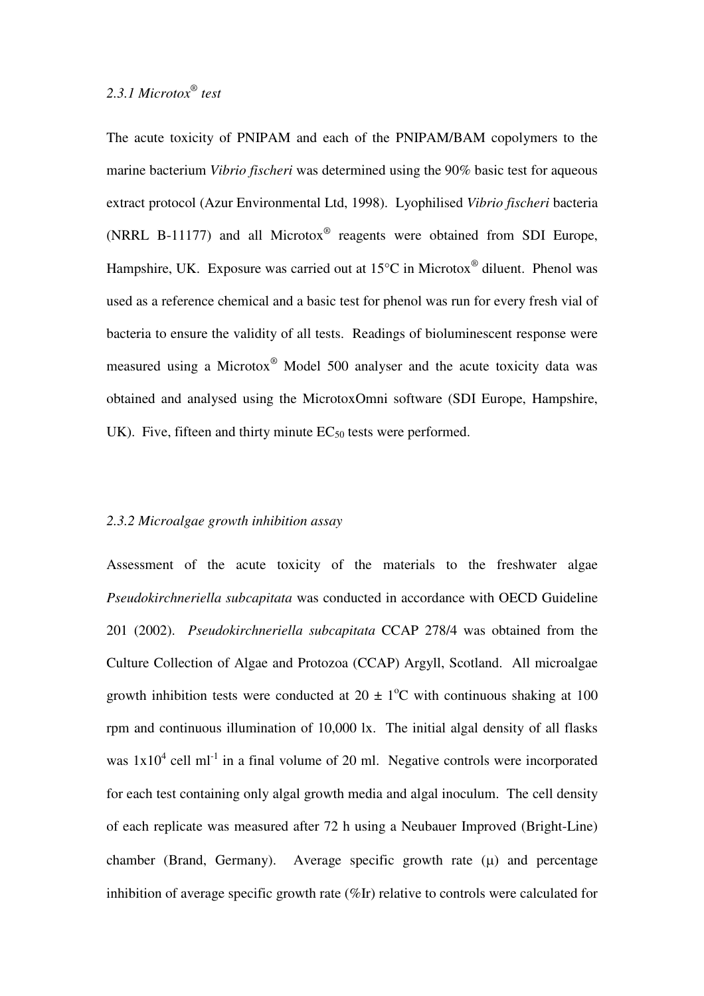The acute toxicity of PNIPAM and each of the PNIPAM/BAM copolymers to the marine bacterium *Vibrio fischeri* was determined using the 90% basic test for aqueous extract protocol (Azur Environmental Ltd, 1998). Lyophilised *Vibrio fischeri* bacteria (NRRL B-11177) and all Microtox $^{\circledR}$  reagents were obtained from SDI Europe, Hampshire, UK. Exposure was carried out at  $15^{\circ}$ C in Microtox<sup>®</sup> diluent. Phenol was used as a reference chemical and a basic test for phenol was run for every fresh vial of bacteria to ensure the validity of all tests. Readings of bioluminescent response were measured using a Microtox® Model 500 analyser and the acute toxicity data was obtained and analysed using the MicrotoxOmni software (SDI Europe, Hampshire, UK). Five, fifteen and thirty minute  $EC_{50}$  tests were performed.

#### *2.3.2 Microalgae growth inhibition assay*

Assessment of the acute toxicity of the materials to the freshwater algae *Pseudokirchneriella subcapitata* was conducted in accordance with OECD Guideline 201 (2002). *Pseudokirchneriella subcapitata* CCAP 278/4 was obtained from the Culture Collection of Algae and Protozoa (CCAP) Argyll, Scotland. All microalgae growth inhibition tests were conducted at  $20 \pm 1$ <sup>o</sup>C with continuous shaking at 100 rpm and continuous illumination of 10,000 lx. The initial algal density of all flasks was  $1x10^4$  cell ml<sup>-1</sup> in a final volume of 20 ml. Negative controls were incorporated for each test containing only algal growth media and algal inoculum. The cell density of each replicate was measured after 72 h using a Neubauer Improved (Bright-Line) chamber (Brand, Germany). Average specific growth rate  $(\mu)$  and percentage inhibition of average specific growth rate (%Ir) relative to controls were calculated for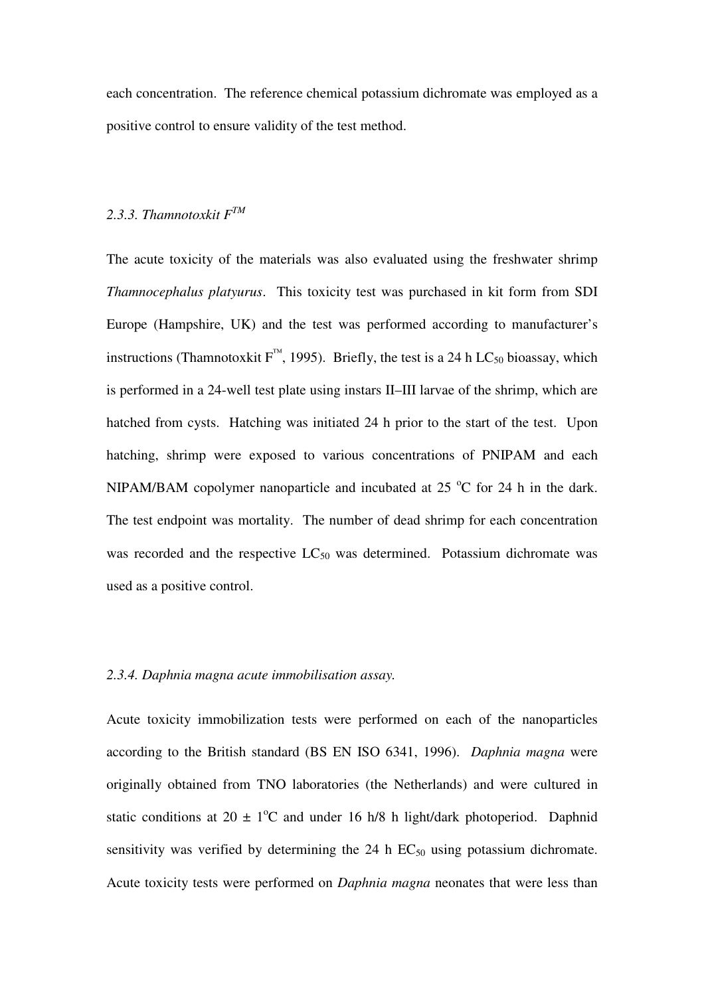each concentration. The reference chemical potassium dichromate was employed as a positive control to ensure validity of the test method.

#### *2.3.3. Thamnotoxkit FTM*

The acute toxicity of the materials was also evaluated using the freshwater shrimp *Thamnocephalus platyurus*. This toxicity test was purchased in kit form from SDI Europe (Hampshire, UK) and the test was performed according to manufacturer's instructions (Thamnotoxkit  $F^{^{TM}}$ , 1995). Briefly, the test is a 24 h LC<sub>50</sub> bioassay, which is performed in a 24-well test plate using instars II–III larvae of the shrimp, which are hatched from cysts. Hatching was initiated 24 h prior to the start of the test. Upon hatching, shrimp were exposed to various concentrations of PNIPAM and each NIPAM/BAM copolymer nanoparticle and incubated at  $25^{\circ}$ C for 24 h in the dark. The test endpoint was mortality. The number of dead shrimp for each concentration was recorded and the respective  $LC_{50}$  was determined. Potassium dichromate was used as a positive control.

#### *2.3.4. Daphnia magna acute immobilisation assay.*

Acute toxicity immobilization tests were performed on each of the nanoparticles according to the British standard (BS EN ISO 6341, 1996). *Daphnia magna* were originally obtained from TNO laboratories (the Netherlands) and were cultured in static conditions at  $20 \pm 1$ <sup>o</sup>C and under 16 h/8 h light/dark photoperiod. Daphnid sensitivity was verified by determining the  $24$  h  $EC_{50}$  using potassium dichromate. Acute toxicity tests were performed on *Daphnia magna* neonates that were less than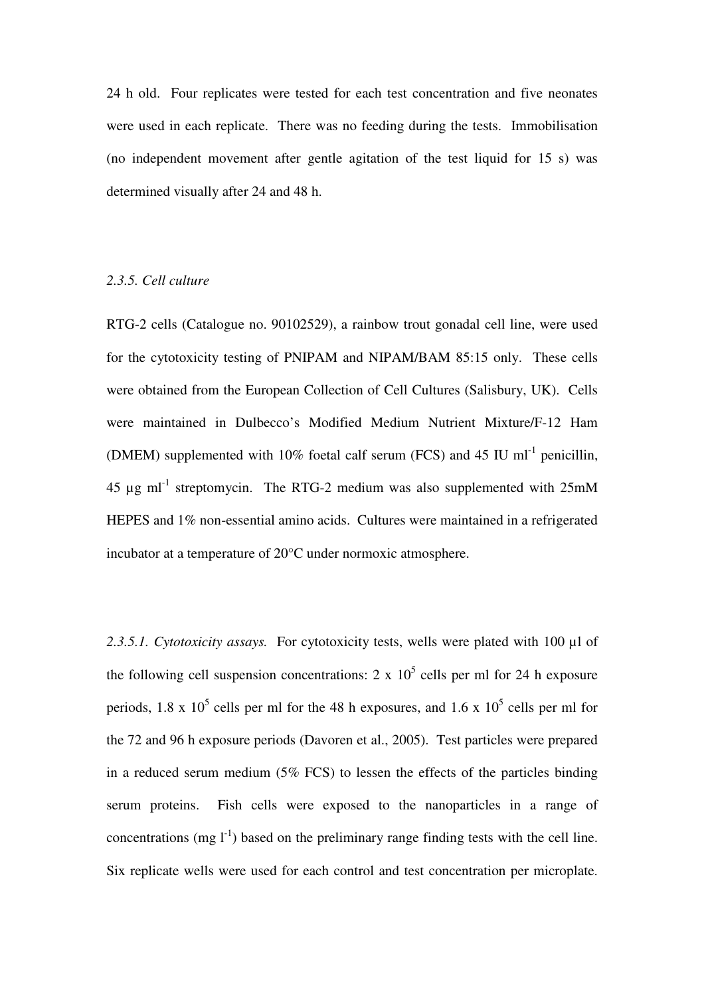24 h old. Four replicates were tested for each test concentration and five neonates were used in each replicate. There was no feeding during the tests. Immobilisation (no independent movement after gentle agitation of the test liquid for 15 s) was determined visually after 24 and 48 h.

#### *2.3.5. Cell culture*

RTG-2 cells (Catalogue no. 90102529), a rainbow trout gonadal cell line, were used for the cytotoxicity testing of PNIPAM and NIPAM/BAM 85:15 only. These cells were obtained from the European Collection of Cell Cultures (Salisbury, UK). Cells were maintained in Dulbecco's Modified Medium Nutrient Mixture/F-12 Ham (DMEM) supplemented with 10% foetal calf serum (FCS) and 45 IU  $ml^{-1}$  penicillin, 45  $\mu$ g ml<sup>-1</sup> streptomycin. The RTG-2 medium was also supplemented with 25mM HEPES and 1% non-essential amino acids. Cultures were maintained in a refrigerated incubator at a temperature of 20°C under normoxic atmosphere.

*2.3.5.1. Cytotoxicity assays.* For cytotoxicity tests, wells were plated with 100 µl of the following cell suspension concentrations: 2 x  $10^5$  cells per ml for 24 h exposure periods, 1.8 x  $10^5$  cells per ml for the 48 h exposures, and 1.6 x  $10^5$  cells per ml for the 72 and 96 h exposure periods (Davoren et al., 2005). Test particles were prepared in a reduced serum medium (5% FCS) to lessen the effects of the particles binding serum proteins. Fish cells were exposed to the nanoparticles in a range of concentrations (mg  $I^{-1}$ ) based on the preliminary range finding tests with the cell line. Six replicate wells were used for each control and test concentration per microplate.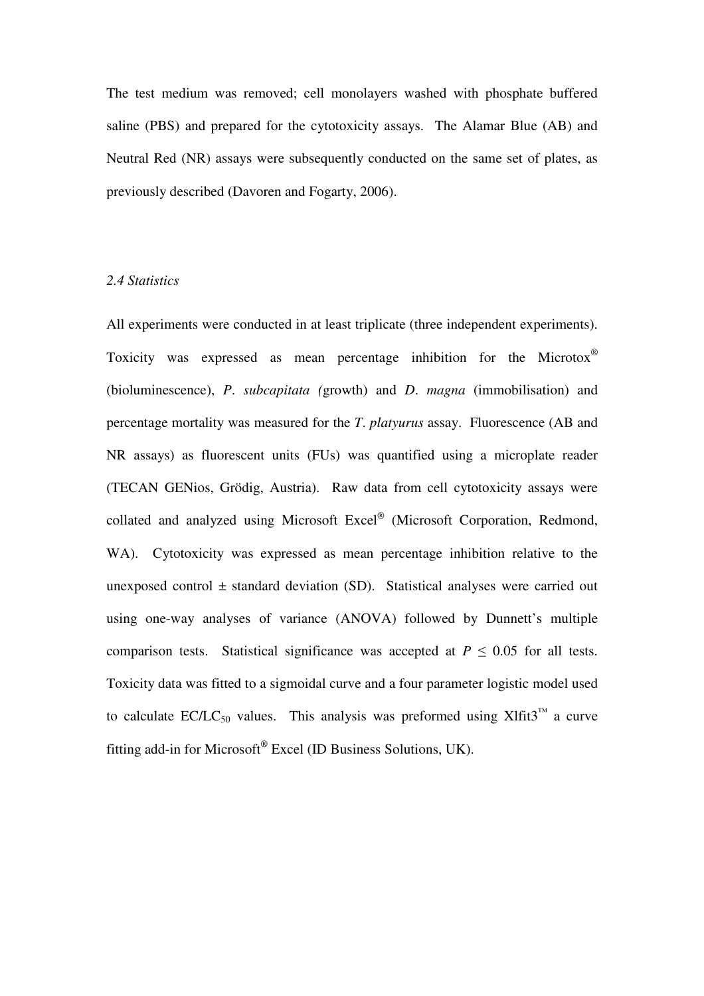The test medium was removed; cell monolayers washed with phosphate buffered saline (PBS) and prepared for the cytotoxicity assays. The Alamar Blue (AB) and Neutral Red (NR) assays were subsequently conducted on the same set of plates, as previously described (Davoren and Fogarty, 2006).

#### *2.4 Statistics*

All experiments were conducted in at least triplicate (three independent experiments). Toxicity was expressed as mean percentage inhibition for the Microtox® (bioluminescence), *P*. *subcapitata (*growth) and *D*. *magna* (immobilisation) and percentage mortality was measured for the *T*. *platyurus* assay. Fluorescence (AB and NR assays) as fluorescent units (FUs) was quantified using a microplate reader (TECAN GENios, Grödig, Austria). Raw data from cell cytotoxicity assays were collated and analyzed using Microsoft Excel® (Microsoft Corporation, Redmond, WA). Cytotoxicity was expressed as mean percentage inhibition relative to the unexposed control  $\pm$  standard deviation (SD). Statistical analyses were carried out using one-way analyses of variance (ANOVA) followed by Dunnett's multiple comparison tests. Statistical significance was accepted at  $P \leq 0.05$  for all tests. Toxicity data was fitted to a sigmoidal curve and a four parameter logistic model used to calculate EC/LC<sub>50</sub> values. This analysis was preformed using Xlfit3<sup>™</sup> a curve fitting add-in for Microsoft® Excel (ID Business Solutions, UK).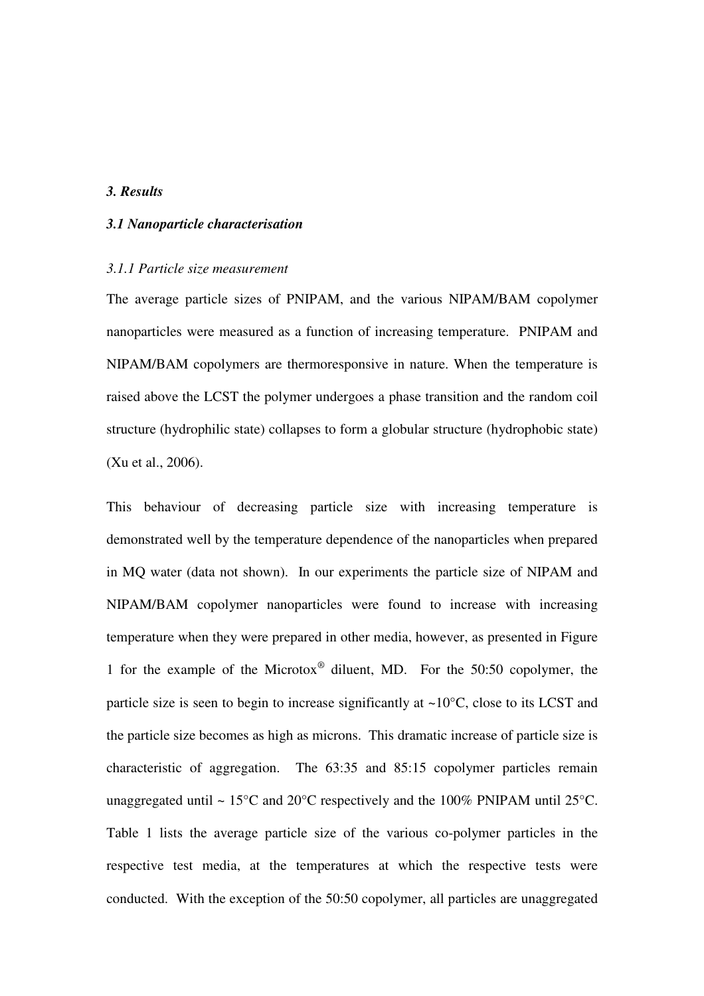#### *3. Results*

#### *3.1 Nanoparticle characterisation*

#### *3.1.1 Particle size measurement*

The average particle sizes of PNIPAM, and the various NIPAM/BAM copolymer nanoparticles were measured as a function of increasing temperature. PNIPAM and NIPAM/BAM copolymers are thermoresponsive in nature. When the temperature is raised above the LCST the polymer undergoes a phase transition and the random coil structure (hydrophilic state) collapses to form a globular structure (hydrophobic state) (Xu et al., 2006).

This behaviour of decreasing particle size with increasing temperature is demonstrated well by the temperature dependence of the nanoparticles when prepared in MQ water (data not shown). In our experiments the particle size of NIPAM and NIPAM/BAM copolymer nanoparticles were found to increase with increasing temperature when they were prepared in other media, however, as presented in Figure 1 for the example of the Microtox® diluent, MD. For the 50:50 copolymer, the particle size is seen to begin to increase significantly at  $\sim10^{\circ}$ C, close to its LCST and the particle size becomes as high as microns. This dramatic increase of particle size is characteristic of aggregation. The 63:35 and 85:15 copolymer particles remain unaggregated until  $\sim 15^{\circ}$ C and 20 $^{\circ}$ C respectively and the 100% PNIPAM until 25 $^{\circ}$ C. Table 1 lists the average particle size of the various co-polymer particles in the respective test media, at the temperatures at which the respective tests were conducted. With the exception of the 50:50 copolymer, all particles are unaggregated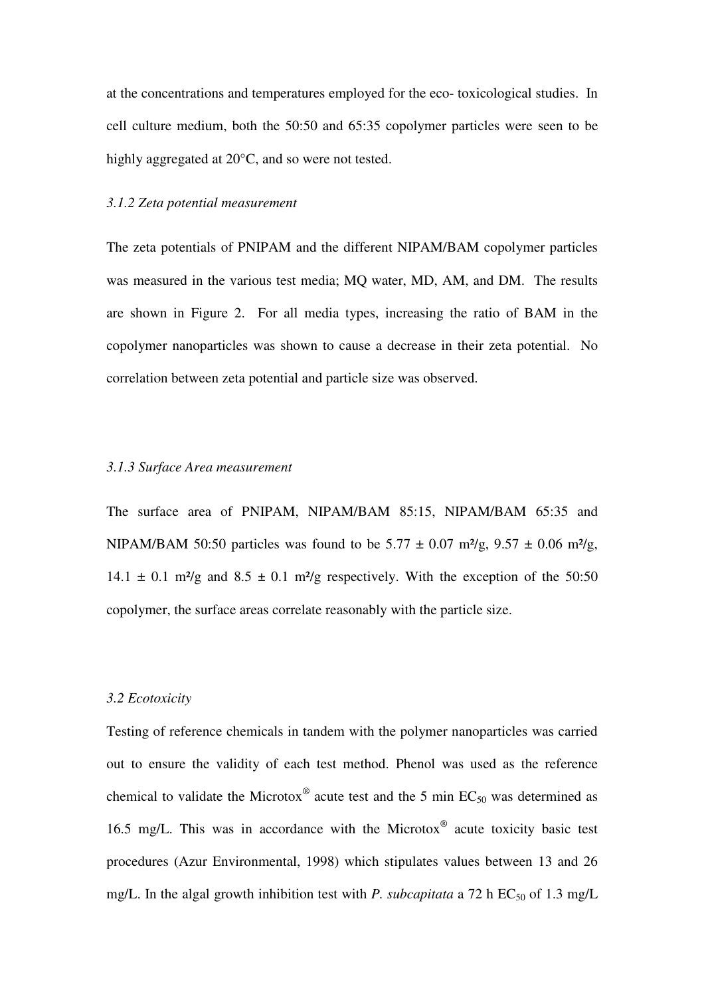at the concentrations and temperatures employed for the eco- toxicological studies. In cell culture medium, both the 50:50 and 65:35 copolymer particles were seen to be highly aggregated at 20°C, and so were not tested.

#### *3.1.2 Zeta potential measurement*

The zeta potentials of PNIPAM and the different NIPAM/BAM copolymer particles was measured in the various test media; MQ water, MD, AM, and DM. The results are shown in Figure 2. For all media types, increasing the ratio of BAM in the copolymer nanoparticles was shown to cause a decrease in their zeta potential. No correlation between zeta potential and particle size was observed.

#### *3.1.3 Surface Area measurement*

The surface area of PNIPAM, NIPAM/BAM 85:15, NIPAM/BAM 65:35 and NIPAM/BAM 50:50 particles was found to be  $5.77 \pm 0.07$  m<sup>2</sup>/g,  $9.57 \pm 0.06$  m<sup>2</sup>/g, 14.1  $\pm$  0.1 m<sup>2</sup>/g and 8.5  $\pm$  0.1 m<sup>2</sup>/g respectively. With the exception of the 50:50 copolymer, the surface areas correlate reasonably with the particle size.

#### *3.2 Ecotoxicity*

Testing of reference chemicals in tandem with the polymer nanoparticles was carried out to ensure the validity of each test method. Phenol was used as the reference chemical to validate the Microtox<sup>®</sup> acute test and the 5 min  $EC_{50}$  was determined as 16.5 mg/L. This was in accordance with the Microtox® acute toxicity basic test procedures (Azur Environmental, 1998) which stipulates values between 13 and 26 mg/L. In the algal growth inhibition test with *P. subcapitata* a 72 h  $EC_{50}$  of 1.3 mg/L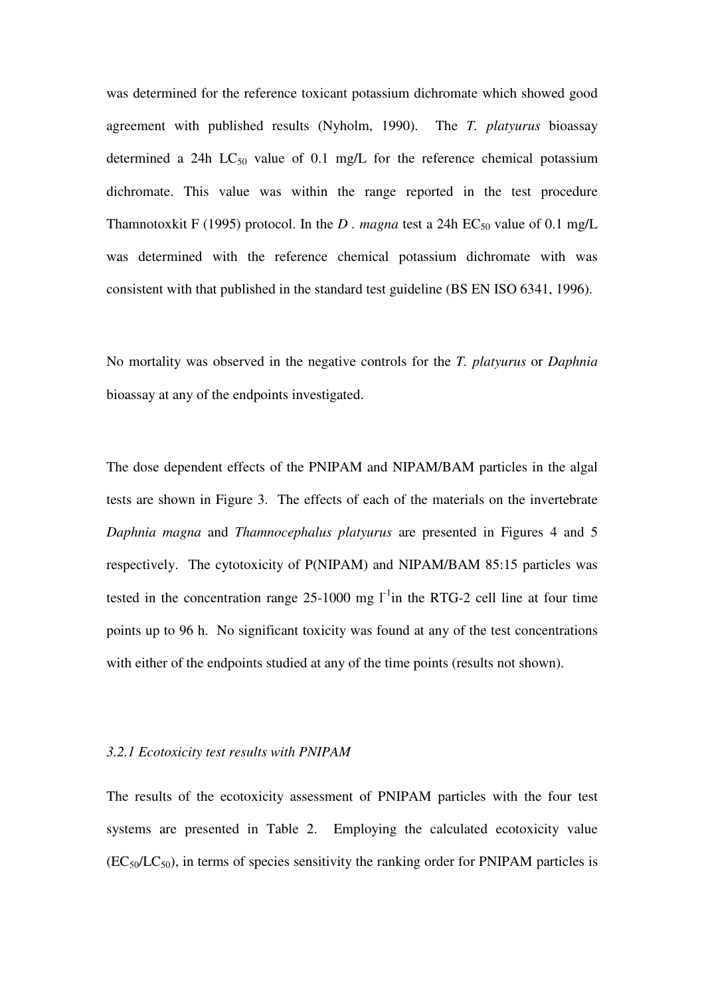was determined for the reference toxicant potassium dichromate which showed good agreement with published results (Nyholm, 1990). The *T. platyurus* bioassay determined a 24h  $LC_{50}$  value of 0.1 mg/L for the reference chemical potassium dichromate. This value was within the range reported in the test procedure Thamnotoxkit F (1995) protocol. In the *D* . magna test a 24h  $EC_{50}$  value of 0.1 mg/L was determined with the reference chemical potassium dichromate with was consistent with that published in the standard test guideline (BS EN ISO 6341, 1996).

No mortality was observed in the negative controls for the *T. platyurus* or *Daphnia* bioassay at any of the endpoints investigated.

The dose dependent effects of the PNIPAM and NIPAM/BAM particles in the algal tests are shown in Figure 3. The effects of each of the materials on the invertebrate *Daphnia magna* and *Thamnocephalus platyurus* are presented in Figures 4 and 5 respectively. The cytotoxicity of P(NIPAM) and NIPAM/BAM 85:15 particles was tested in the concentration range  $25-1000$  mg  $1^{-1}$ in the RTG-2 cell line at four time points up to 96 h. No significant toxicity was found at any of the test concentrations with either of the endpoints studied at any of the time points (results not shown).

#### *3.2.1 Ecotoxicity test results with PNIPAM*

The results of the ecotoxicity assessment of PNIPAM particles with the four test systems are presented in Table 2. Employing the calculated ecotoxicity value  $(EC_{50}/LC_{50})$ , in terms of species sensitivity the ranking order for PNIPAM particles is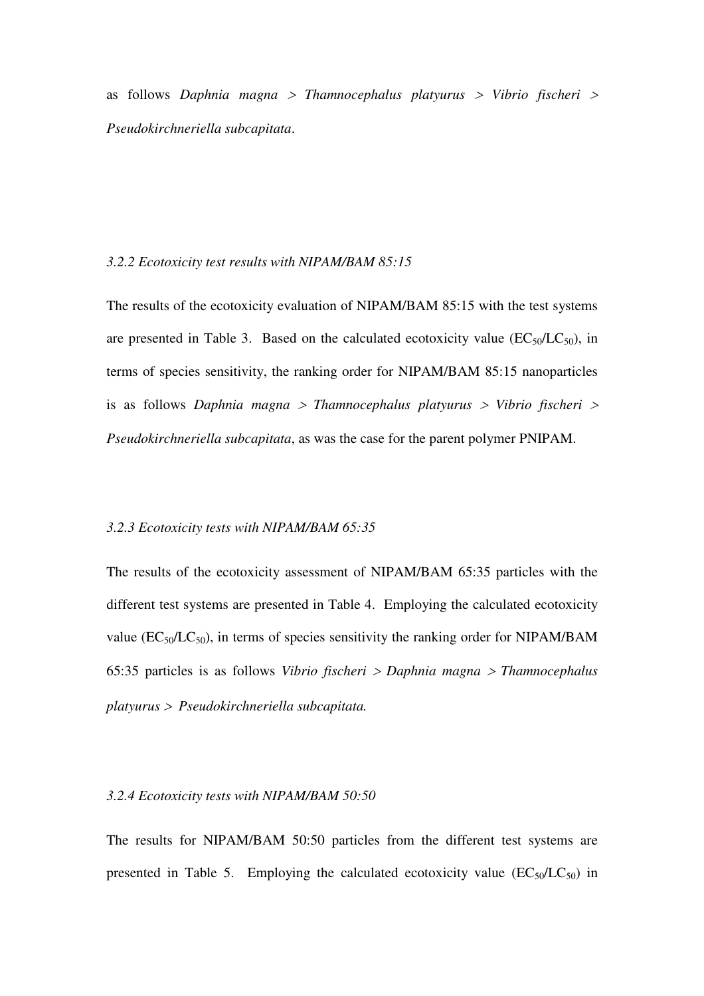as follows *Daphnia magna* <sup>&</sup>gt; *Thamnocephalus platyurus* > *Vibrio fischeri* <sup>&</sup>gt; *Pseudokirchneriella subcapitata*.

#### *3.2.2 Ecotoxicity test results with NIPAM/BAM 85:15*

The results of the ecotoxicity evaluation of NIPAM/BAM 85:15 with the test systems are presented in Table 3. Based on the calculated ecotoxicity value  $(EC_{50}/LC_{50})$ , in terms of species sensitivity, the ranking order for NIPAM/BAM 85:15 nanoparticles is as follows *Daphnia magna* <sup>&</sup>gt; *Thamnocephalus platyurus* > *Vibrio fischeri* <sup>&</sup>gt; *Pseudokirchneriella subcapitata*, as was the case for the parent polymer PNIPAM.

#### *3.2.3 Ecotoxicity tests with NIPAM/BAM 65:35*

The results of the ecotoxicity assessment of NIPAM/BAM 65:35 particles with the different test systems are presented in Table 4. Employing the calculated ecotoxicity value  $(EC_{50}/LC_{50})$ , in terms of species sensitivity the ranking order for NIPAM/BAM 65:35 particles is as follows *Vibrio fischeri* > *Daphnia magna* <sup>&</sup>gt; *Thamnocephalus platyurus* > *Pseudokirchneriella subcapitata.* 

#### *3.2.4 Ecotoxicity tests with NIPAM/BAM 50:50*

The results for NIPAM/BAM 50:50 particles from the different test systems are presented in Table 5. Employing the calculated ecotoxicity value  $(EC_{50}/LC_{50})$  in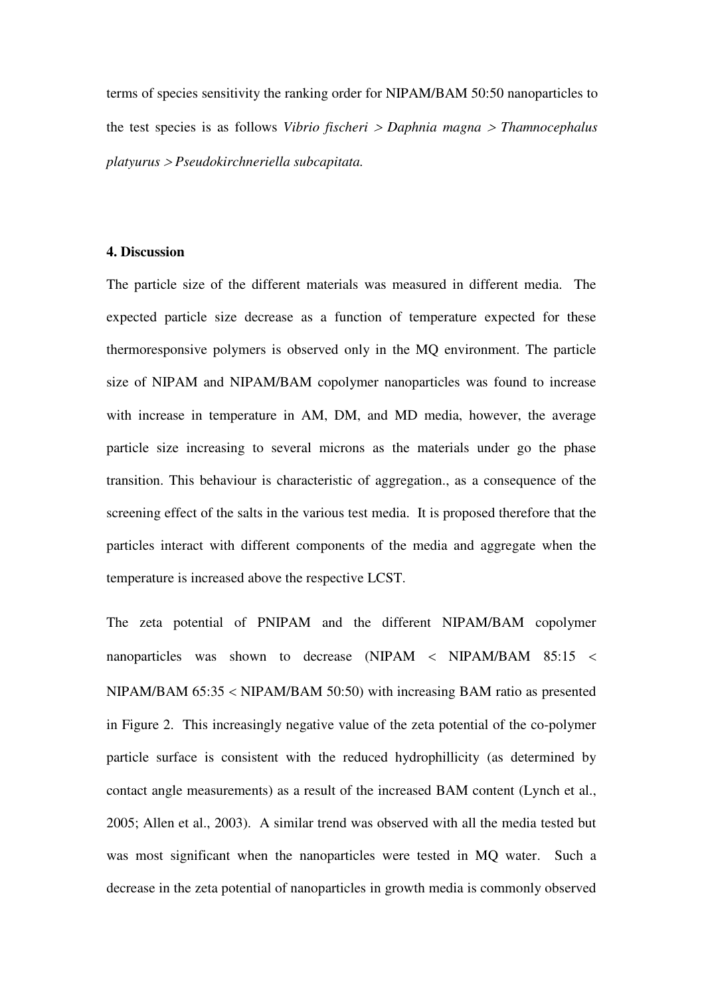terms of species sensitivity the ranking order for NIPAM/BAM 50:50 nanoparticles to the test species is as follows *Vibrio fischeri* > *Daphnia magna* <sup>&</sup>gt; *Thamnocephalus platyurus* > *Pseudokirchneriella subcapitata.* 

#### **4. Discussion**

The particle size of the different materials was measured in different media. The expected particle size decrease as a function of temperature expected for these thermoresponsive polymers is observed only in the MQ environment. The particle size of NIPAM and NIPAM/BAM copolymer nanoparticles was found to increase with increase in temperature in AM, DM, and MD media, however, the average particle size increasing to several microns as the materials under go the phase transition. This behaviour is characteristic of aggregation., as a consequence of the screening effect of the salts in the various test media. It is proposed therefore that the particles interact with different components of the media and aggregate when the temperature is increased above the respective LCST.

The zeta potential of PNIPAM and the different NIPAM/BAM copolymer nanoparticles was shown to decrease (NIPAM < NIPAM/BAM 85:15 < NIPAM/BAM 65:35 < NIPAM/BAM 50:50) with increasing BAM ratio as presented in Figure 2. This increasingly negative value of the zeta potential of the co-polymer particle surface is consistent with the reduced hydrophillicity (as determined by contact angle measurements) as a result of the increased BAM content (Lynch et al., 2005; Allen et al., 2003). A similar trend was observed with all the media tested but was most significant when the nanoparticles were tested in MQ water. Such a decrease in the zeta potential of nanoparticles in growth media is commonly observed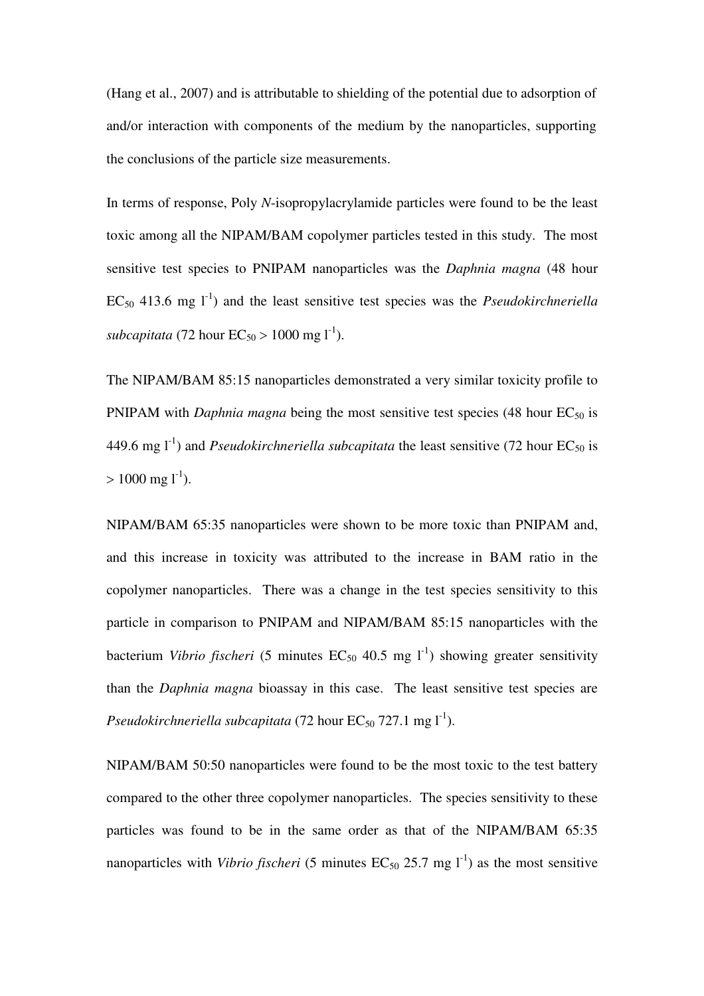(Hang et al., 2007) and is attributable to shielding of the potential due to adsorption of and/or interaction with components of the medium by the nanoparticles, supporting the conclusions of the particle size measurements.

In terms of response, Poly *N*-isopropylacrylamide particles were found to be the least toxic among all the NIPAM/BAM copolymer particles tested in this study. The most sensitive test species to PNIPAM nanoparticles was the *Daphnia magna* (48 hour  $EC_{50}$  413.6 mg  $1^{-1}$ ) and the least sensitive test species was the *Pseudokirchneriella subcapitata* (72 hour  $EC_{50} > 1000$  mg l<sup>-1</sup>).

The NIPAM/BAM 85:15 nanoparticles demonstrated a very similar toxicity profile to PNIPAM with *Daphnia magna* being the most sensitive test species (48 hour EC<sub>50</sub> is 449.6 mg  $1^{-1}$ ) and *Pseudokirchneriella subcapitata* the least sensitive (72 hour EC<sub>50</sub> is  $> 1000$  mg l<sup>-1</sup>).

NIPAM/BAM 65:35 nanoparticles were shown to be more toxic than PNIPAM and, and this increase in toxicity was attributed to the increase in BAM ratio in the copolymer nanoparticles. There was a change in the test species sensitivity to this particle in comparison to PNIPAM and NIPAM/BAM 85:15 nanoparticles with the bacterium *Vibrio fischeri* (5 minutes  $EC_{50}$  40.5 mg  $l^{-1}$ ) showing greater sensitivity than the *Daphnia magna* bioassay in this case. The least sensitive test species are *Pseudokirchneriella subcapitata* (72 hour  $EC_{50}$  727.1 mg  $I^1$ ).

NIPAM/BAM 50:50 nanoparticles were found to be the most toxic to the test battery compared to the other three copolymer nanoparticles. The species sensitivity to these particles was found to be in the same order as that of the NIPAM/BAM 65:35 nanoparticles with *Vibrio fischeri* (5 minutes  $EC_{50}$  25.7 mg  $l^{-1}$ ) as the most sensitive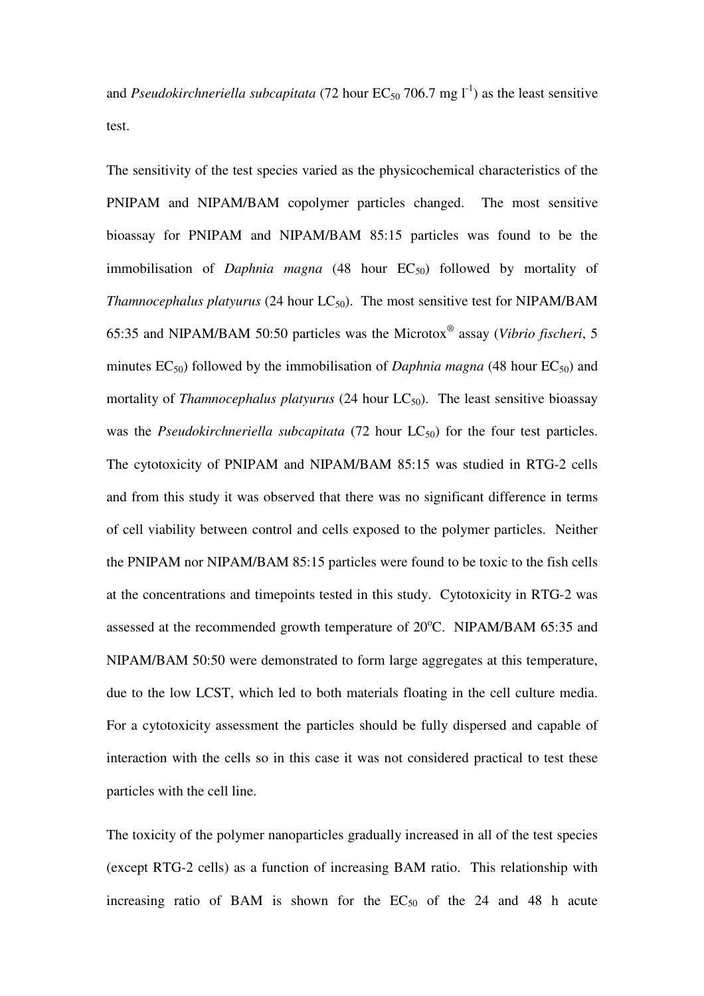and *Pseudokirchneriella subcapitata* (72 hour  $EC_{50}$  706.7 mg  $I<sup>-1</sup>$ ) as the least sensitive test.

The sensitivity of the test species varied as the physicochemical characteristics of the PNIPAM and NIPAM/BAM copolymer particles changed. The most sensitive bioassay for PNIPAM and NIPAM/BAM 85:15 particles was found to be the immobilisation of *Daphnia magna* (48 hour EC<sub>50</sub>) followed by mortality of *Thamnocephalus platyurus* (24 hour  $LC_{50}$ ). The most sensitive test for NIPAM/BAM 65:35 and NIPAM/BAM 50:50 particles was the Microtox*®* assay (*Vibrio fischeri*, 5 minutes  $EC_{50}$ ) followed by the immobilisation of *Daphnia magna* (48 hour  $EC_{50}$ ) and mortality of *Thamnocephalus platyurus* (24 hour  $LC_{50}$ ). The least sensitive bioassay was the *Pseudokirchneriella subcapitata* (72 hour  $LC_{50}$ ) for the four test particles. The cytotoxicity of PNIPAM and NIPAM/BAM 85:15 was studied in RTG-2 cells and from this study it was observed that there was no significant difference in terms of cell viability between control and cells exposed to the polymer particles. Neither the PNIPAM nor NIPAM/BAM 85:15 particles were found to be toxic to the fish cells at the concentrations and timepoints tested in this study. Cytotoxicity in RTG-2 was assessed at the recommended growth temperature of  $20^{\circ}$ C. NIPAM/BAM 65:35 and NIPAM/BAM 50:50 were demonstrated to form large aggregates at this temperature, due to the low LCST, which led to both materials floating in the cell culture media. For a cytotoxicity assessment the particles should be fully dispersed and capable of interaction with the cells so in this case it was not considered practical to test these particles with the cell line.

The toxicity of the polymer nanoparticles gradually increased in all of the test species (except RTG-2 cells) as a function of increasing BAM ratio. This relationship with increasing ratio of BAM is shown for the  $EC_{50}$  of the 24 and 48 h acute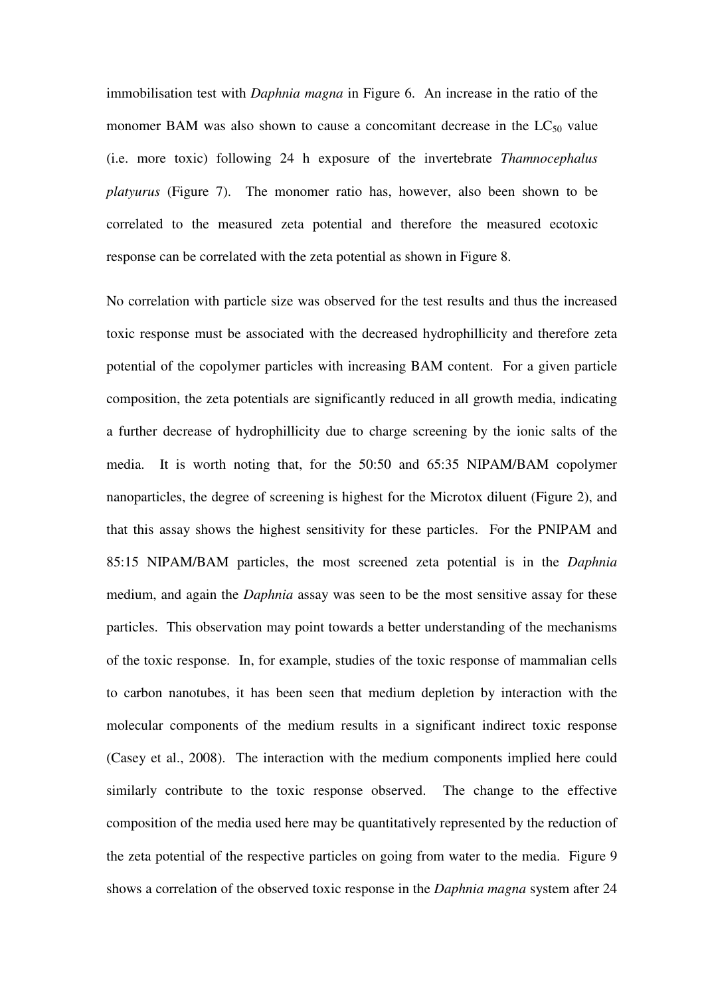immobilisation test with *Daphnia magna* in Figure 6. An increase in the ratio of the monomer BAM was also shown to cause a concomitant decrease in the  $LC_{50}$  value (i.e. more toxic) following 24 h exposure of the invertebrate *Thamnocephalus platyurus* (Figure 7). The monomer ratio has, however, also been shown to be correlated to the measured zeta potential and therefore the measured ecotoxic response can be correlated with the zeta potential as shown in Figure 8.

No correlation with particle size was observed for the test results and thus the increased toxic response must be associated with the decreased hydrophillicity and therefore zeta potential of the copolymer particles with increasing BAM content. For a given particle composition, the zeta potentials are significantly reduced in all growth media, indicating a further decrease of hydrophillicity due to charge screening by the ionic salts of the media. It is worth noting that, for the 50:50 and 65:35 NIPAM/BAM copolymer nanoparticles, the degree of screening is highest for the Microtox diluent (Figure 2), and that this assay shows the highest sensitivity for these particles. For the PNIPAM and 85:15 NIPAM/BAM particles, the most screened zeta potential is in the *Daphnia* medium, and again the *Daphnia* assay was seen to be the most sensitive assay for these particles. This observation may point towards a better understanding of the mechanisms of the toxic response. In, for example, studies of the toxic response of mammalian cells to carbon nanotubes, it has been seen that medium depletion by interaction with the molecular components of the medium results in a significant indirect toxic response (Casey et al., 2008). The interaction with the medium components implied here could similarly contribute to the toxic response observed. The change to the effective composition of the media used here may be quantitatively represented by the reduction of the zeta potential of the respective particles on going from water to the media. Figure 9 shows a correlation of the observed toxic response in the *Daphnia magna* system after 24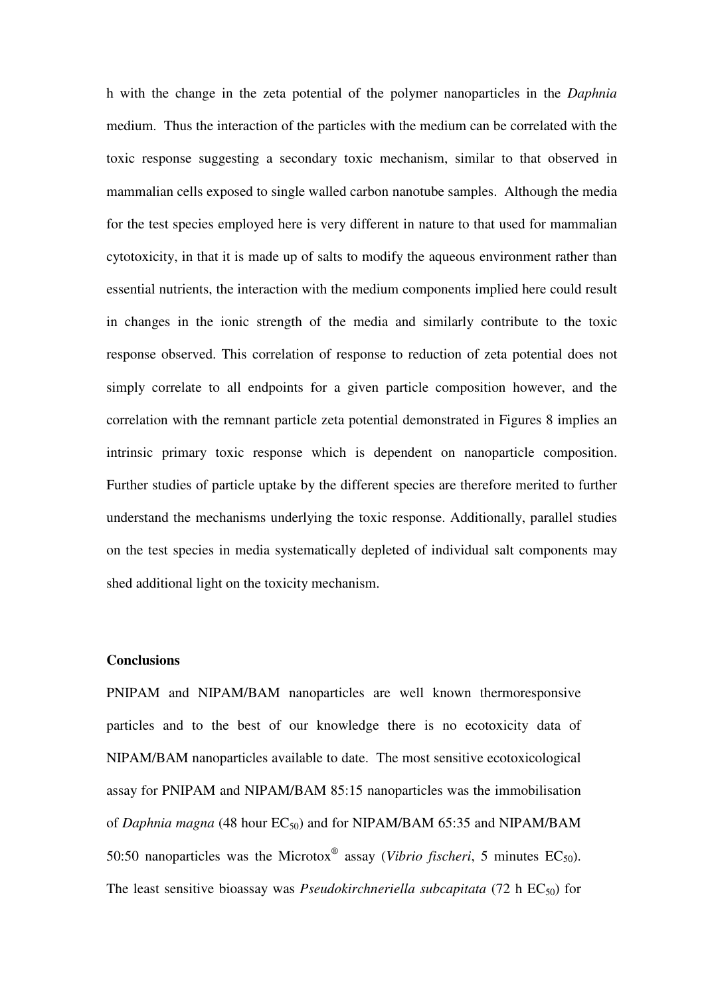h with the change in the zeta potential of the polymer nanoparticles in the *Daphnia* medium. Thus the interaction of the particles with the medium can be correlated with the toxic response suggesting a secondary toxic mechanism, similar to that observed in mammalian cells exposed to single walled carbon nanotube samples. Although the media for the test species employed here is very different in nature to that used for mammalian cytotoxicity, in that it is made up of salts to modify the aqueous environment rather than essential nutrients, the interaction with the medium components implied here could result in changes in the ionic strength of the media and similarly contribute to the toxic response observed. This correlation of response to reduction of zeta potential does not simply correlate to all endpoints for a given particle composition however, and the correlation with the remnant particle zeta potential demonstrated in Figures 8 implies an intrinsic primary toxic response which is dependent on nanoparticle composition. Further studies of particle uptake by the different species are therefore merited to further understand the mechanisms underlying the toxic response. Additionally, parallel studies on the test species in media systematically depleted of individual salt components may shed additional light on the toxicity mechanism.

#### **Conclusions**

PNIPAM and NIPAM/BAM nanoparticles are well known thermoresponsive particles and to the best of our knowledge there is no ecotoxicity data of NIPAM/BAM nanoparticles available to date. The most sensitive ecotoxicological assay for PNIPAM and NIPAM/BAM 85:15 nanoparticles was the immobilisation of *Daphnia magna* (48 hour  $EC_{50}$ ) and for NIPAM/BAM 65:35 and NIPAM/BAM 50:50 nanoparticles was the Microtox<sup>®</sup> assay (*Vibrio fischeri*, 5 minutes  $EC_{50}$ ). The least sensitive bioassay was *Pseudokirchneriella subcapitata* (72 h  $EC_{50}$ ) for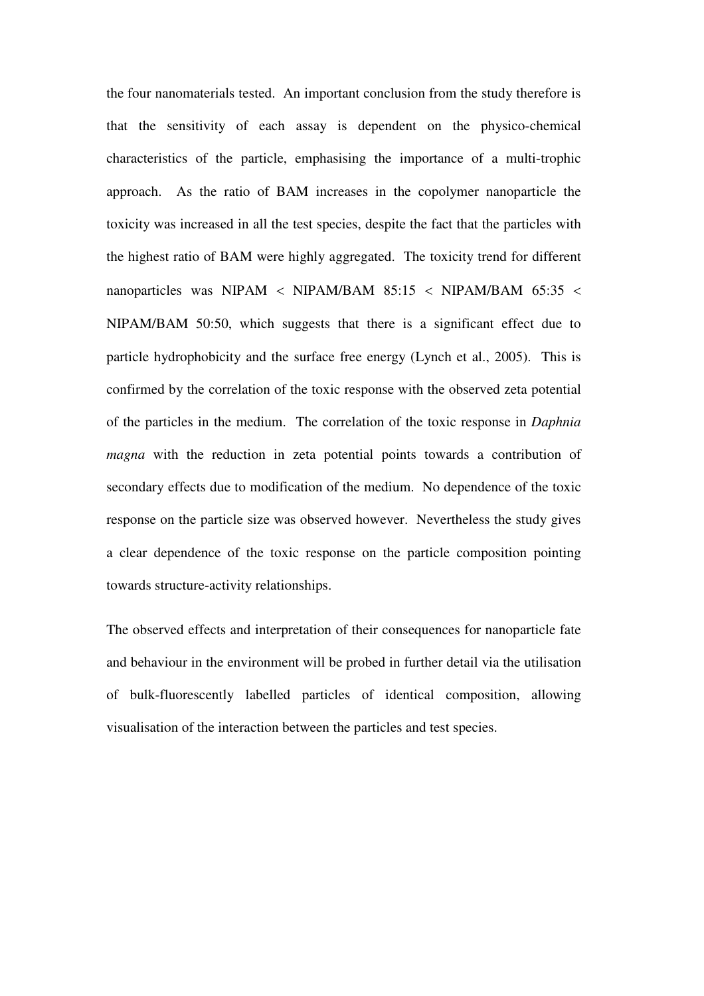the four nanomaterials tested. An important conclusion from the study therefore is that the sensitivity of each assay is dependent on the physico-chemical characteristics of the particle, emphasising the importance of a multi-trophic approach. As the ratio of BAM increases in the copolymer nanoparticle the toxicity was increased in all the test species, despite the fact that the particles with the highest ratio of BAM were highly aggregated. The toxicity trend for different nanoparticles was NIPAM < NIPAM/BAM 85:15 < NIPAM/BAM 65:35 < NIPAM/BAM 50:50, which suggests that there is a significant effect due to particle hydrophobicity and the surface free energy (Lynch et al., 2005). This is confirmed by the correlation of the toxic response with the observed zeta potential of the particles in the medium. The correlation of the toxic response in *Daphnia magna* with the reduction in zeta potential points towards a contribution of secondary effects due to modification of the medium. No dependence of the toxic response on the particle size was observed however. Nevertheless the study gives a clear dependence of the toxic response on the particle composition pointing towards structure-activity relationships.

The observed effects and interpretation of their consequences for nanoparticle fate and behaviour in the environment will be probed in further detail via the utilisation of bulk-fluorescently labelled particles of identical composition, allowing visualisation of the interaction between the particles and test species.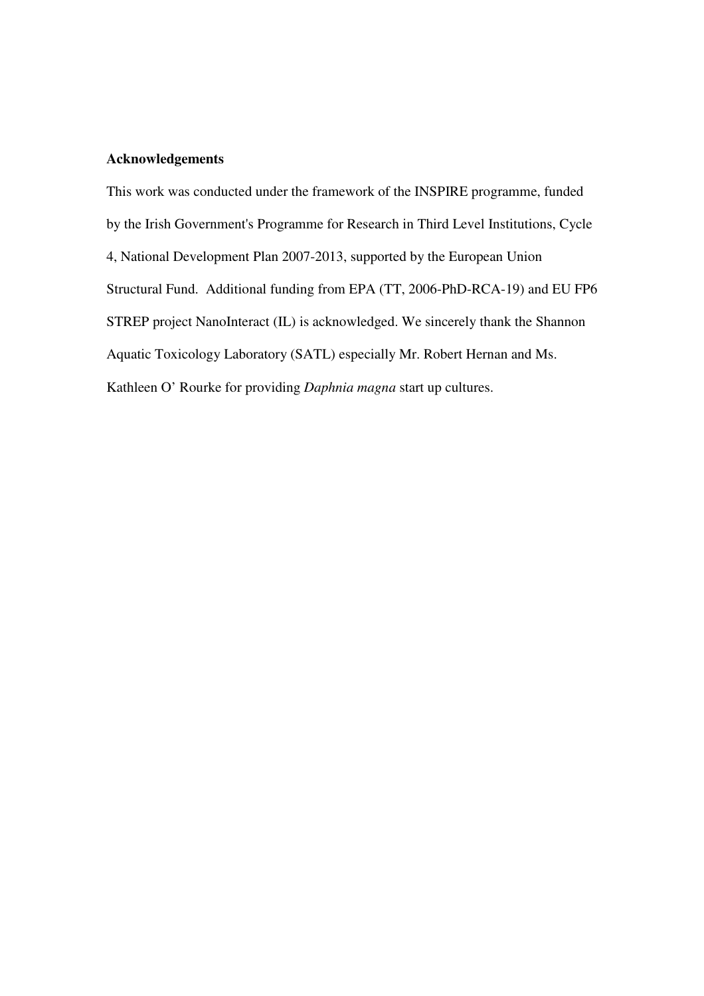#### **Acknowledgements**

This work was conducted under the framework of the INSPIRE programme, funded by the Irish Government's Programme for Research in Third Level Institutions, Cycle 4, National Development Plan 2007-2013, supported by the European Union Structural Fund. Additional funding from EPA (TT, 2006-PhD-RCA-19) and EU FP6 STREP project NanoInteract (IL) is acknowledged. We sincerely thank the Shannon Aquatic Toxicology Laboratory (SATL) especially Mr. Robert Hernan and Ms. Kathleen O' Rourke for providing *Daphnia magna* start up cultures.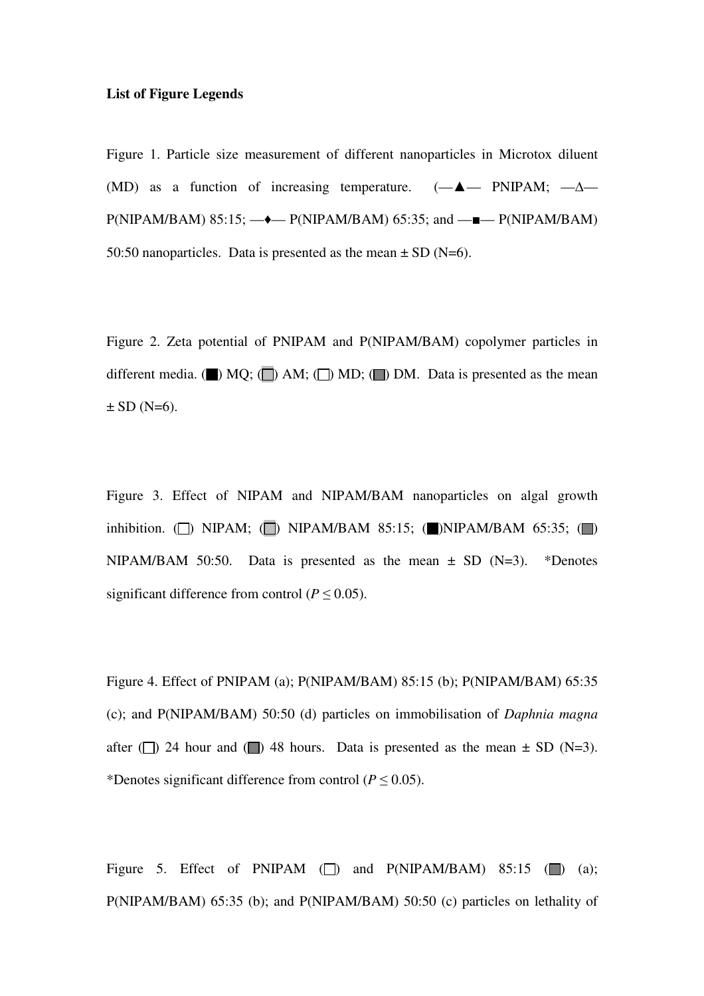#### **List of Figure Legends**

Figure 1. Particle size measurement of different nanoparticles in Microtox diluent (MD) as a function of increasing temperature.  $(-\triangle -$  PNIPAM;  $-\triangle P(NIPAM/BAM)$  85:15;  $-\rightarrow$   $P(NIPAM/BAM)$  65:35; and  $-\rightarrow$   $P(NIPAM/BAM)$ 50:50 nanoparticles. Data is presented as the mean  $\pm$  SD (N=6).

Figure 2. Zeta potential of PNIPAM and P(NIPAM/BAM) copolymer particles in different media. ( $\blacksquare$ ) MQ; ( $\blacksquare$ ) AM; ( $\blacksquare$ ) MD; ( $\blacksquare$ ) DM. Data is presented as the mean  $\pm$  SD (N=6).

Figure 3. Effect of NIPAM and NIPAM/BAM nanoparticles on algal growth inhibition.  $\Box$  NIPAM;  $\Box$  NIPAM/BAM 85:15;  $\Box$  NIPAM/BAM 65:35;  $\Box$ ) NIPAM/BAM 50:50. Data is presented as the mean  $\pm$  SD (N=3). \*Denotes significant difference from control ( $P \le 0.05$ ).

Figure 4. Effect of PNIPAM (a); P(NIPAM/BAM) 85:15 (b); P(NIPAM/BAM) 65:35 (c); and P(NIPAM/BAM) 50:50 (d) particles on immobilisation of *Daphnia magna* after ( $\Box$ ) 24 hour and ( $\Box$ ) 48 hours. Data is presented as the mean  $\pm$  SD (N=3). \*Denotes significant difference from control (*P* ≤ 0.05).

Figure 5. Effect of PNIPAM  $\Box$  and P(NIPAM/BAM) 85:15  $\Box$  (a); P(NIPAM/BAM) 65:35 (b); and P(NIPAM/BAM) 50:50 (c) particles on lethality of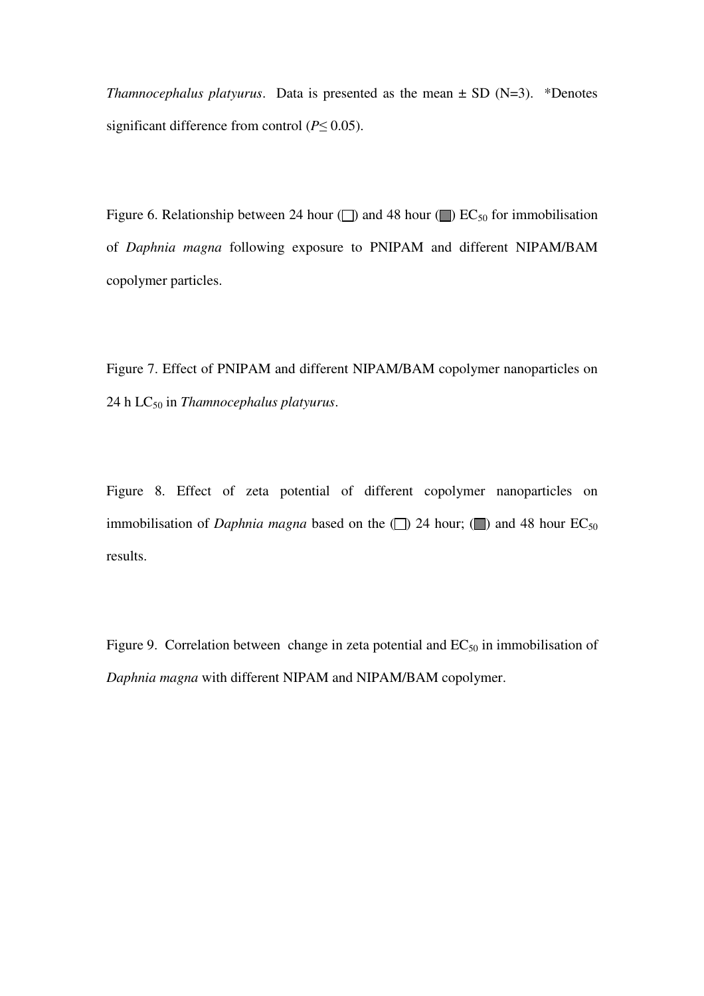*Thamnocephalus platyurus.* Data is presented as the mean  $\pm$  SD (N=3). \*Denotes significant difference from control (*P*≤ 0.05).

Figure 6. Relationship between 24 hour ( $\Box$ ) and 48 hour ( $\Box$ ) EC<sub>50</sub> for immobilisation of *Daphnia magna* following exposure to PNIPAM and different NIPAM/BAM copolymer particles.

Figure 7. Effect of PNIPAM and different NIPAM/BAM copolymer nanoparticles on 24 h LC<sub>50</sub> in *Thamnocephalus platyurus*.

Figure 8. Effect of zeta potential of different copolymer nanoparticles on immobilisation of *Daphnia magna* based on the  $\Box$ ) 24 hour;  $\Box$ ) and 48 hour EC<sub>50</sub> results.

Figure 9. Correlation between change in zeta potential and  $EC_{50}$  in immobilisation of *Daphnia magna* with different NIPAM and NIPAM/BAM copolymer.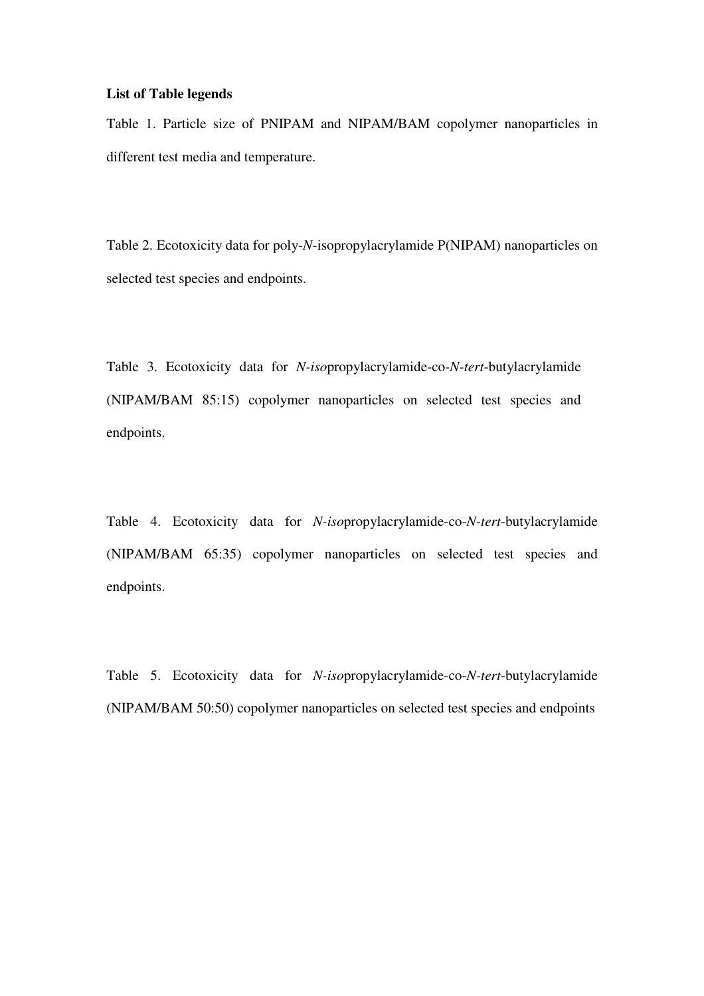#### **List of Table legends**

Table 1. Particle size of PNIPAM and NIPAM/BAM copolymer nanoparticles in different test media and temperature.

Table 2. Ecotoxicity data for poly-*N*-isopropylacrylamide P(NIPAM) nanoparticles on selected test species and endpoints.

Table 3. Ecotoxicity data for *N-iso*propylacrylamide-co-*N-tert*-butylacrylamide (NIPAM/BAM 85:15) copolymer nanoparticles on selected test species and endpoints.

Table 4. Ecotoxicity data for *N-iso*propylacrylamide-co-*N-tert*-butylacrylamide (NIPAM/BAM 65:35) copolymer nanoparticles on selected test species and endpoints.

Table 5. Ecotoxicity data for *N-iso*propylacrylamide-co-*N-tert*-butylacrylamide (NIPAM/BAM 50:50) copolymer nanoparticles on selected test species and endpoints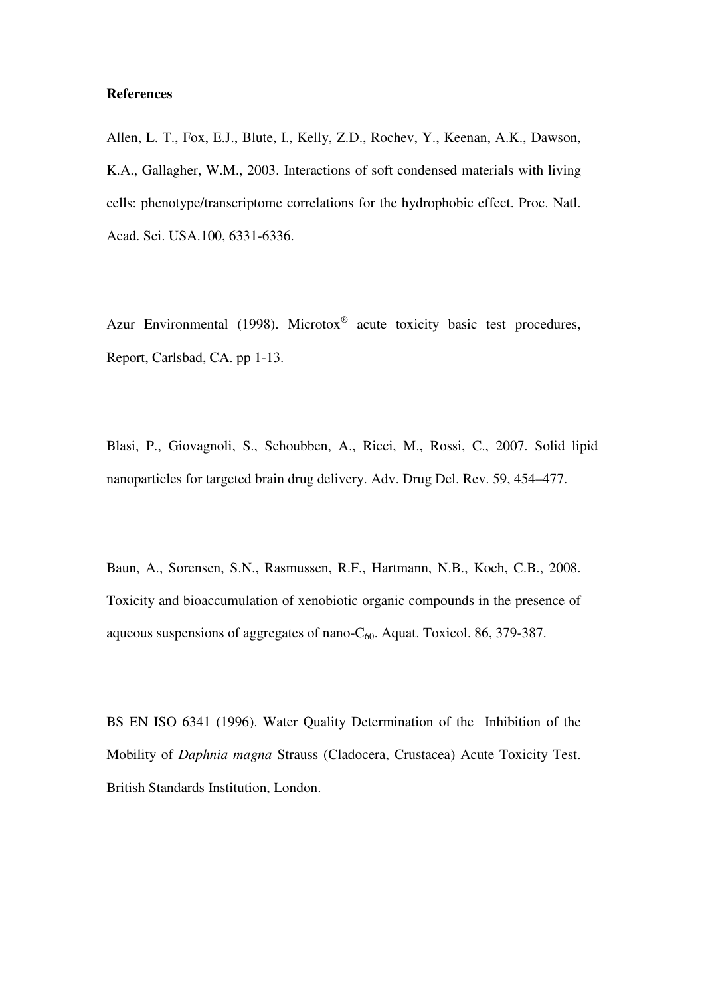#### **References**

Allen, L. T., Fox, E.J., Blute, I., Kelly, Z.D., Rochev, Y., Keenan, A.K., Dawson, K.A., Gallagher, W.M., 2003. Interactions of soft condensed materials with living cells: phenotype/transcriptome correlations for the hydrophobic effect. Proc. Natl. Acad. Sci. USA.100, 6331-6336.

Azur Environmental (1998). Microtox<sup>®</sup> acute toxicity basic test procedures, Report, Carlsbad, CA. pp 1-13.

Blasi, P., Giovagnoli, S., Schoubben, A., Ricci, M., Rossi, C., 2007. Solid lipid nanoparticles for targeted brain drug delivery. Adv. Drug Del. Rev. 59, 454–477.

Baun, A., Sorensen, S.N., Rasmussen, R.F., Hartmann, N.B., Koch, C.B., 2008. Toxicity and bioaccumulation of xenobiotic organic compounds in the presence of aqueous suspensions of aggregates of nano- $C_{60}$ . Aquat. Toxicol. 86, 379-387.

BS EN ISO 6341 (1996). Water Quality Determination of the Inhibition of the Mobility of *Daphnia magna* Strauss (Cladocera, Crustacea) Acute Toxicity Test. British Standards Institution, London.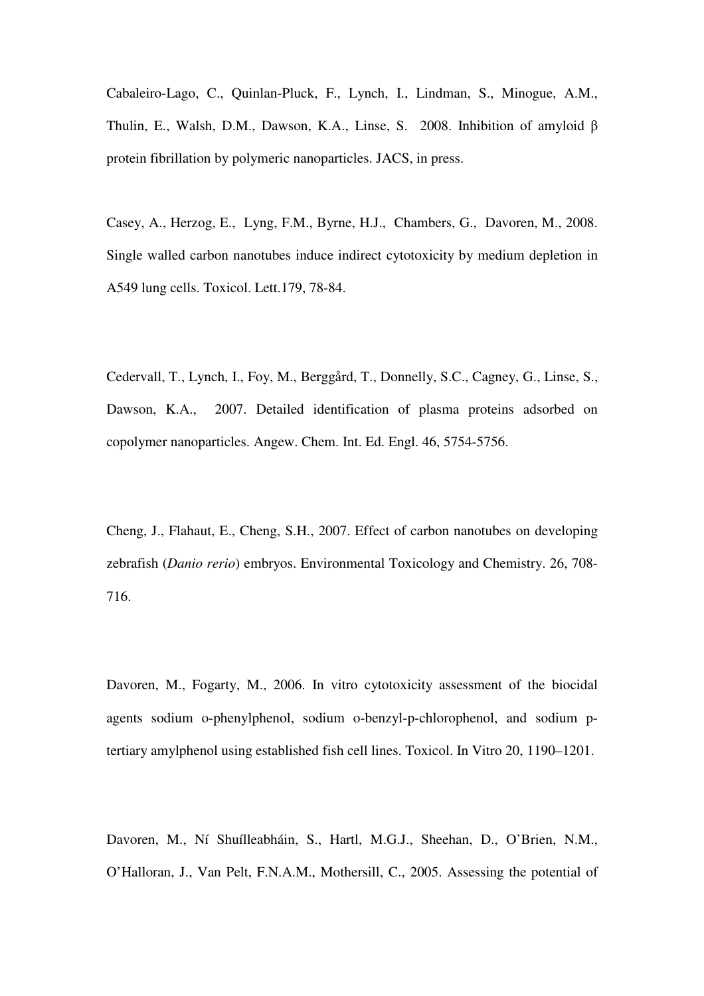Cabaleiro-Lago, C., Quinlan-Pluck, F., Lynch, I., Lindman, S., Minogue, A.M., Thulin, E., Walsh, D.M., Dawson, K.A., Linse, S. 2008. Inhibition of amyloid β protein fibrillation by polymeric nanoparticles. JACS, in press.

Casey, A., Herzog, E., Lyng, F.M., Byrne, H.J., Chambers, G., Davoren, M., 2008. Single walled carbon nanotubes induce indirect cytotoxicity by medium depletion in A549 lung cells. Toxicol. Lett.179, 78-84.

Cedervall, T., Lynch, I., Foy, M., Berggård, T., Donnelly, S.C., Cagney, G., Linse, S., Dawson, K.A., 2007. Detailed identification of plasma proteins adsorbed on copolymer nanoparticles. Angew. Chem. Int. Ed. Engl. 46, 5754-5756.

Cheng, J., Flahaut, E., Cheng, S.H., 2007. Effect of carbon nanotubes on developing zebrafish (*Danio rerio*) embryos. Environmental Toxicology and Chemistry. 26, 708- 716.

Davoren, M., Fogarty, M., 2006. In vitro cytotoxicity assessment of the biocidal agents sodium o-phenylphenol, sodium o-benzyl-p-chlorophenol, and sodium ptertiary amylphenol using established fish cell lines. Toxicol. In Vitro 20, 1190–1201.

Davoren, M., Ní Shuílleabháin, S., Hartl, M.G.J., Sheehan, D., O'Brien, N.M., O'Halloran, J., Van Pelt, F.N.A.M., Mothersill, C., 2005. Assessing the potential of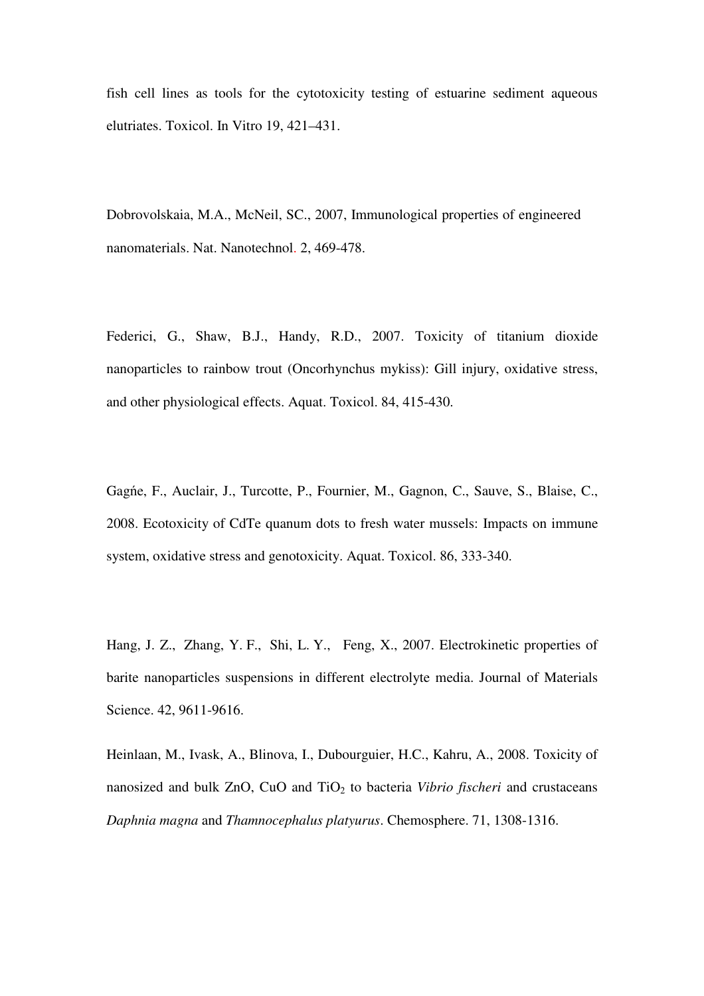fish cell lines as tools for the cytotoxicity testing of estuarine sediment aqueous elutriates. Toxicol. In Vitro 19, 421–431.

Dobrovolskaia, M.A., McNeil, SC., 2007, Immunological properties of engineered nanomaterials. Nat. Nanotechnol. 2, 469-478.

Federici, G., Shaw, B.J., Handy, R.D., 2007. Toxicity of titanium dioxide nanoparticles to rainbow trout (Oncorhynchus mykiss): Gill injury, oxidative stress, and other physiological effects. Aquat. Toxicol. 84, 415-430.

Gagńe, F., Auclair, J., Turcotte, P., Fournier, M., Gagnon, C., Sauve, S., Blaise, C., 2008. Ecotoxicity of CdTe quanum dots to fresh water mussels: Impacts on immune system, oxidative stress and genotoxicity. Aquat. Toxicol. 86, 333-340.

Hang, J. Z., Zhang, Y. F., Shi, L. Y., Feng, X., 2007. Electrokinetic properties of barite nanoparticles suspensions in different electrolyte media. Journal of Materials Science. 42, 9611-9616.

Heinlaan, M., Ivask, A., Blinova, I., Dubourguier, H.C., Kahru, A., 2008. Toxicity of nanosized and bulk ZnO, CuO and TiO<sub>2</sub> to bacteria *Vibrio fischeri* and crustaceans *Daphnia magna* and *Thamnocephalus platyurus*. Chemosphere. 71, 1308-1316.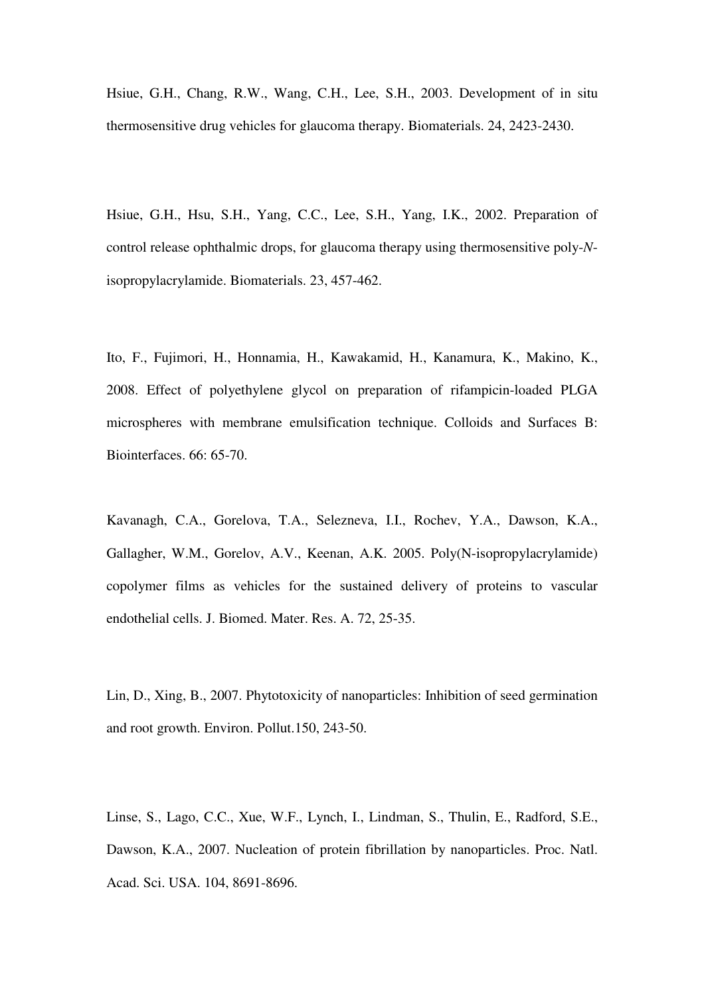Hsiue, G.H., Chang, R.W., Wang, C.H., Lee, S.H., 2003. Development of in situ thermosensitive drug vehicles for glaucoma therapy. Biomaterials. 24, 2423-2430.

Hsiue, G.H., Hsu, S.H., Yang, C.C., Lee, S.H., Yang, I.K., 2002. Preparation of control release ophthalmic drops, for glaucoma therapy using thermosensitive poly-*N*isopropylacrylamide. Biomaterials. 23, 457-462.

Ito, F., Fujimori, H., Honnamia, H., Kawakamid, H., Kanamura, K., Makino, K., 2008. Effect of polyethylene glycol on preparation of rifampicin-loaded PLGA microspheres with membrane emulsification technique. Colloids and Surfaces B: Biointerfaces. 66: 65-70.

Kavanagh, C.A., Gorelova, T.A., Selezneva, I.I., Rochev, Y.A., Dawson, K.A., Gallagher, W.M., Gorelov, A.V., Keenan, A.K. 2005. Poly(N-isopropylacrylamide) copolymer films as vehicles for the sustained delivery of proteins to vascular endothelial cells. J. Biomed. Mater. Res. A. 72, 25-35.

Lin, D., Xing, B., 2007. Phytotoxicity of nanoparticles: Inhibition of seed germination and root growth. Environ. Pollut.150, 243-50.

Linse, S., Lago, C.C., Xue, W.F., Lynch, I., Lindman, S., Thulin, E., Radford, S.E., Dawson, K.A., 2007. Nucleation of protein fibrillation by nanoparticles. Proc. Natl. Acad. Sci. USA. 104, 8691-8696.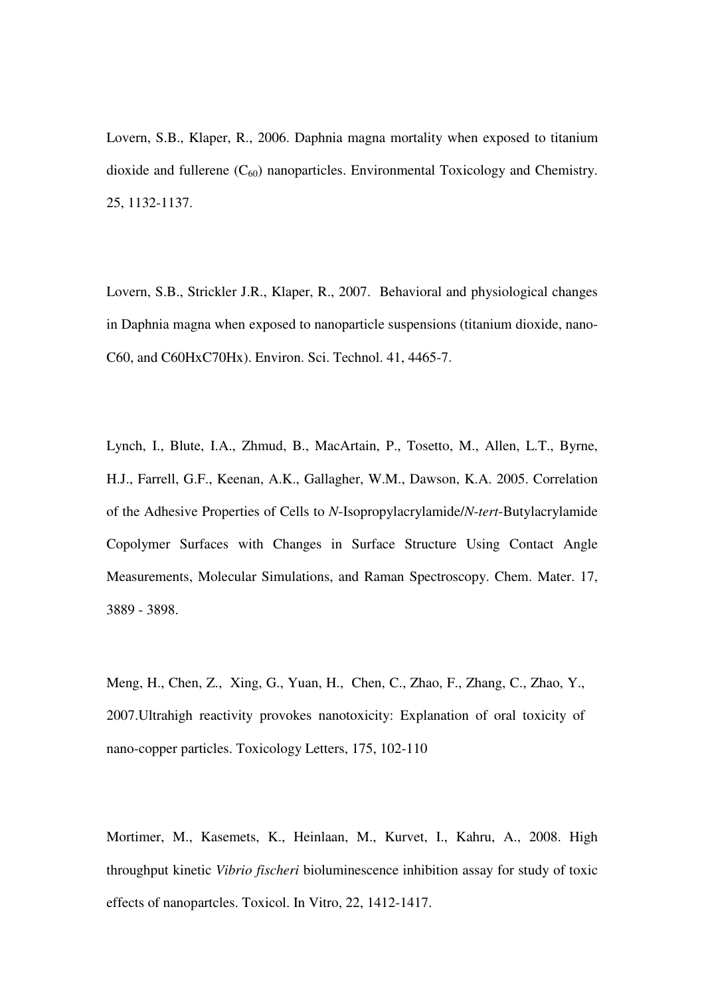Lovern, S.B., Klaper, R., 2006. Daphnia magna mortality when exposed to titanium dioxide and fullerene  $(C_{60})$  nanoparticles. Environmental Toxicology and Chemistry. 25, 1132-1137.

Lovern, S.B., Strickler J.R., Klaper, R., 2007. Behavioral and physiological changes in Daphnia magna when exposed to nanoparticle suspensions (titanium dioxide, nano-C60, and C60HxC70Hx). Environ. Sci. Technol. 41, 4465-7.

Lynch, I., Blute, I.A., Zhmud, B., MacArtain, P., Tosetto, M., Allen, L.T., Byrne, H.J., Farrell, G.F., Keenan, A.K., Gallagher, W.M., Dawson, K.A. 2005. Correlation of the Adhesive Properties of Cells to *N*-Isopropylacrylamide/*N*-*tert*-Butylacrylamide Copolymer Surfaces with Changes in Surface Structure Using Contact Angle Measurements, Molecular Simulations, and Raman Spectroscopy. Chem. Mater. 17, 3889 - 3898.

Meng, H., Chen, Z., Xing, G., Yuan, H., Chen, C., Zhao, F., Zhang, C., Zhao, Y., 2007.Ultrahigh reactivity provokes nanotoxicity: Explanation of oral toxicity of nano-copper particles. Toxicology Letters, 175, 102-110

Mortimer, M., Kasemets, K., Heinlaan, M., Kurvet, I., Kahru, A., 2008. High throughput kinetic *Vibrio fischeri* bioluminescence inhibition assay for study of toxic effects of nanopartcles. Toxicol. In Vitro, 22, 1412-1417.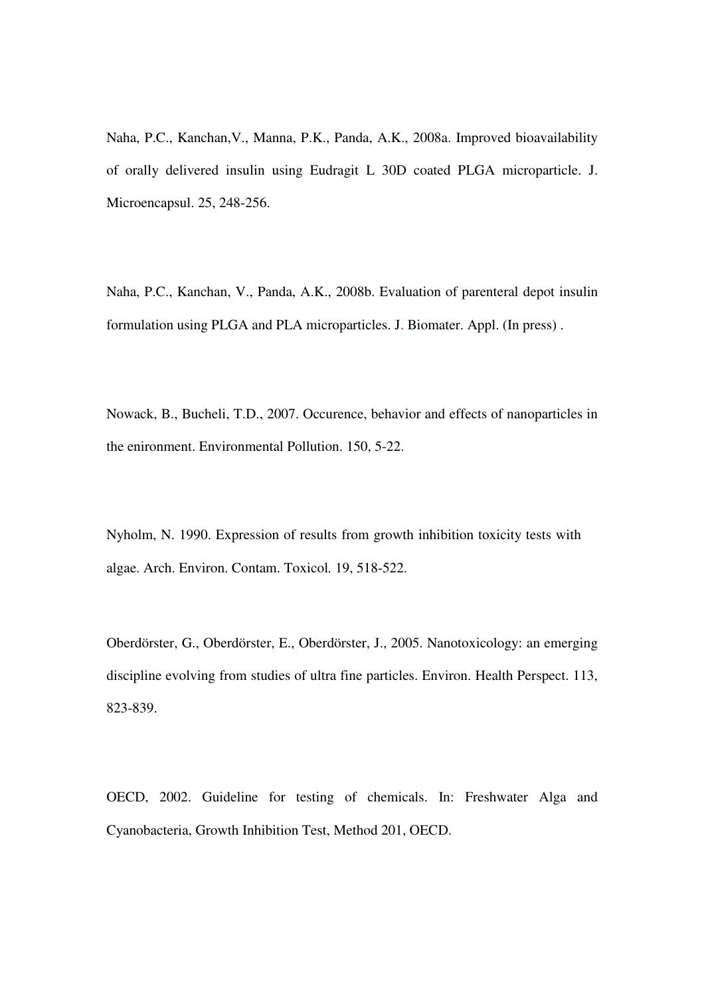Naha, P.C., Kanchan,V., Manna, P.K., Panda, A.K., 2008a. Improved bioavailability of orally delivered insulin using Eudragit L 30D coated PLGA microparticle. J. Microencapsul. 25, 248-256.

Naha, P.C., Kanchan, V., Panda, A.K., 2008b. Evaluation of parenteral depot insulin formulation using PLGA and PLA microparticles. J. Biomater. Appl. (In press) .

Nowack, B., Bucheli, T.D., 2007. Occurence, behavior and effects of nanoparticles in the enironment. Environmental Pollution. 150, 5-22.

Nyholm, N. 1990. Expression of results from growth inhibition toxicity tests with algae. Arch. Environ. Contam. Toxicol*.* 19, 518-522.

Oberdörster, G., Oberdörster, E., Oberdörster, J., 2005. Nanotoxicology: an emerging discipline evolving from studies of ultra fine particles. Environ. Health Perspect. 113, 823-839.

OECD, 2002. Guideline for testing of chemicals. In: Freshwater Alga and Cyanobacteria, Growth Inhibition Test, Method 201, OECD.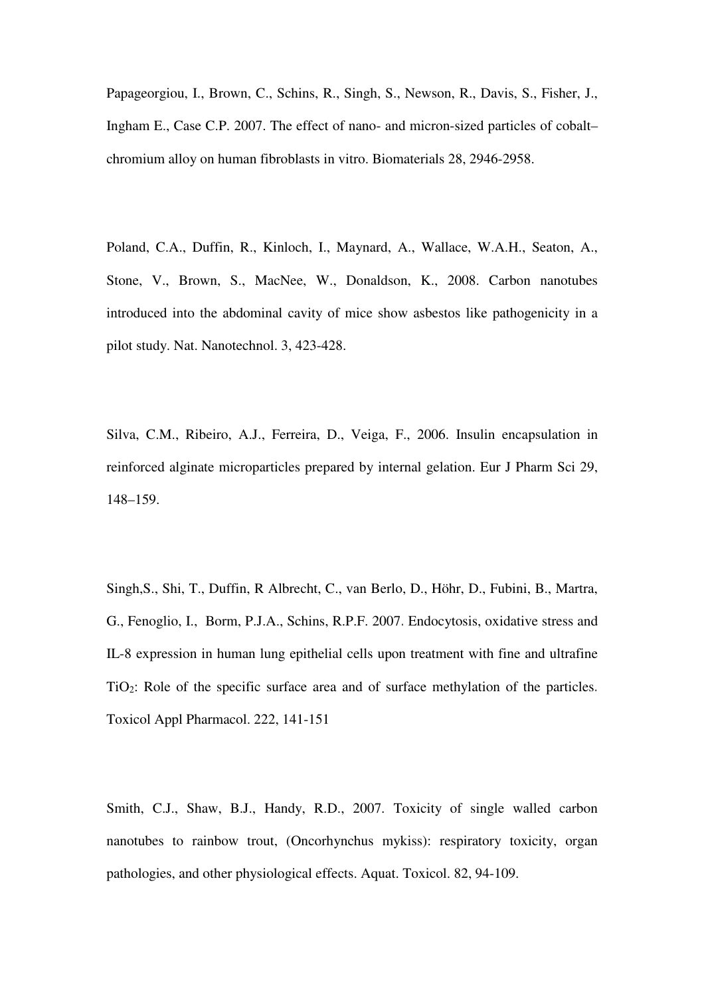Papageorgiou, I., Brown, C., Schins, R., Singh, S., Newson, R., Davis, S., Fisher, J., Ingham E., Case C.P. 2007. The effect of nano- and micron-sized particles of cobalt– chromium alloy on human fibroblasts in vitro. Biomaterials 28, 2946-2958.

Poland, C.A., Duffin, R., Kinloch, I., Maynard, A., Wallace, W.A.H., Seaton, A., Stone, V., Brown, S., MacNee, W., Donaldson, K., 2008. Carbon nanotubes introduced into the abdominal cavity of mice show asbestos like pathogenicity in a pilot study. Nat. Nanotechnol. 3, 423-428.

Silva, C.M., Ribeiro, A.J., Ferreira, D., Veiga, F., 2006. Insulin encapsulation in reinforced alginate microparticles prepared by internal gelation. Eur J Pharm Sci 29, 148–159.

Singh,S., Shi, T., Duffin, R Albrecht, C., van Berlo, D., Höhr, D., Fubini, B., Martra, G., Fenoglio, I., Borm, P.J.A., Schins, R.P.F. 2007. Endocytosis, oxidative stress and IL-8 expression in human lung epithelial cells upon treatment with fine and ultrafine TiO2: Role of the specific surface area and of surface methylation of the particles. Toxicol Appl Pharmacol. 222, 141-151

Smith, C.J., Shaw, B.J., Handy, R.D., 2007. Toxicity of single walled carbon nanotubes to rainbow trout, (Oncorhynchus mykiss): respiratory toxicity, organ pathologies, and other physiological effects. Aquat. Toxicol. 82, 94-109.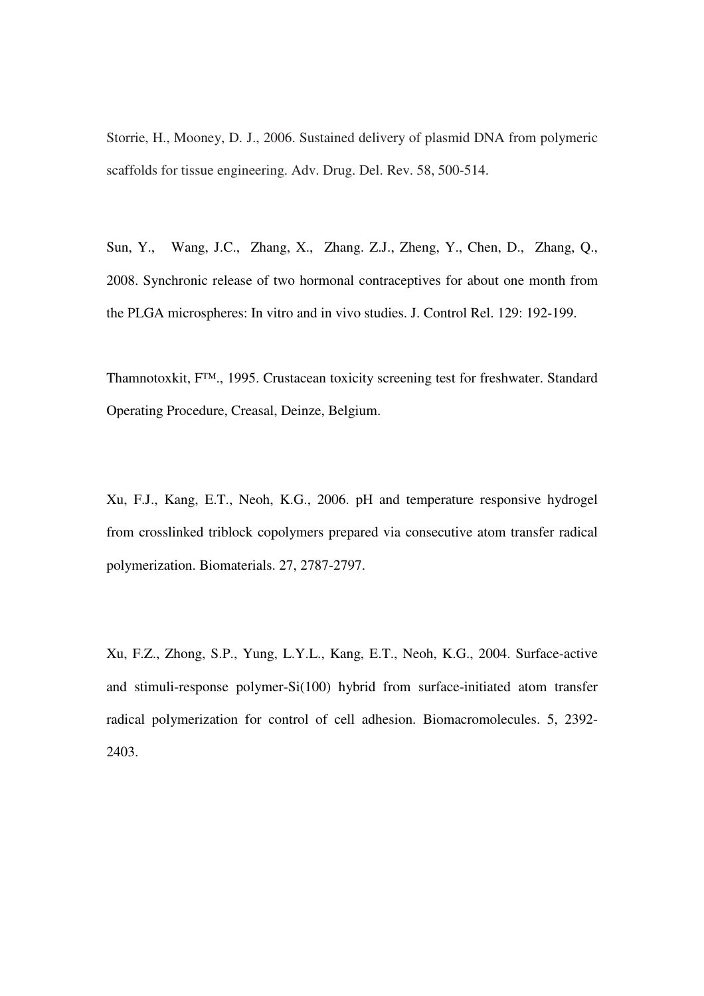Storrie, H., Mooney, D. J., 2006. Sustained delivery of plasmid DNA from polymeric scaffolds for tissue engineering. Adv. Drug. Del. Rev. 58, 500-514.

Sun, Y., Wang, J.C., Zhang, X., Zhang. Z.J., Zheng, Y., Chen, D., Zhang, Q., 2008. Synchronic release of two hormonal contraceptives for about one month from the PLGA microspheres: In vitro and in vivo studies. J. Control Rel. 129: 192-199.

Thamnotoxkit, F™., 1995. Crustacean toxicity screening test for freshwater. Standard Operating Procedure, Creasal, Deinze, Belgium.

Xu, F.J., Kang, E.T., Neoh, K.G., 2006. pH and temperature responsive hydrogel from crosslinked triblock copolymers prepared via consecutive atom transfer radical polymerization. Biomaterials. 27, 2787-2797.

Xu, F.Z., Zhong, S.P., Yung, L.Y.L., Kang, E.T., Neoh, K.G., 2004. Surface-active and stimuli-response polymer-Si(100) hybrid from surface-initiated atom transfer radical polymerization for control of cell adhesion. Biomacromolecules. 5, 2392- 2403.